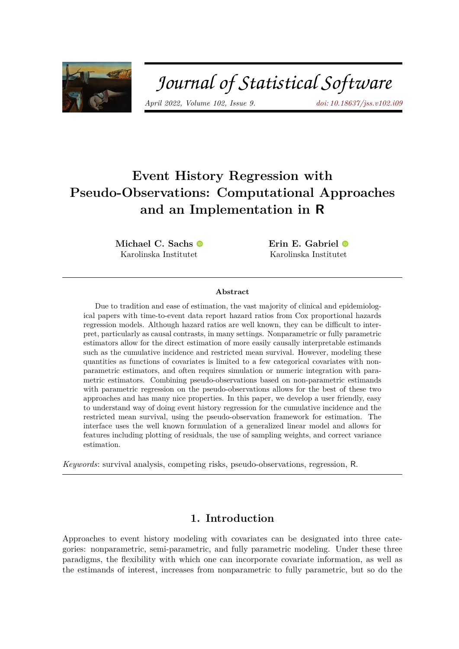

# Journal of Statistical Software

*April 2022, Volume 102, Issue 9. [doi: 10.18637/jss.v102.i09](https://doi.org/10.18637/jss.v102.i09)*

## **Event History Regression with Pseudo-Observations: Computational Approaches and an Implementation in R**

**Michael C. Sachs** Karolinska Institutet

**Erin E. Gabriel** Karolinska Institutet

#### **Abstract**

Due to tradition and ease of estimation, the vast majority of clinical and epidemiological papers with time-to-event data report hazard ratios from Cox proportional hazards regression models. Although hazard ratios are well known, they can be difficult to interpret, particularly as causal contrasts, in many settings. Nonparametric or fully parametric estimators allow for the direct estimation of more easily causally interpretable estimands such as the cumulative incidence and restricted mean survival. However, modeling these quantities as functions of covariates is limited to a few categorical covariates with nonparametric estimators, and often requires simulation or numeric integration with parametric estimators. Combining pseudo-observations based on non-parametric estimands with parametric regression on the pseudo-observations allows for the best of these two approaches and has many nice properties. In this paper, we develop a user friendly, easy to understand way of doing event history regression for the cumulative incidence and the restricted mean survival, using the pseudo-observation framework for estimation. The interface uses the well known formulation of a generalized linear model and allows for features including plotting of residuals, the use of sampling weights, and correct variance estimation.

*Keywords*: survival analysis, competing risks, pseudo-observations, regression, R.

### **1. Introduction**

Approaches to event history modeling with covariates can be designated into three categories: nonparametric, semi-parametric, and fully parametric modeling. Under these three paradigms, the flexibility with which one can incorporate covariate information, as well as the estimands of interest, increases from nonparametric to fully parametric, but so do the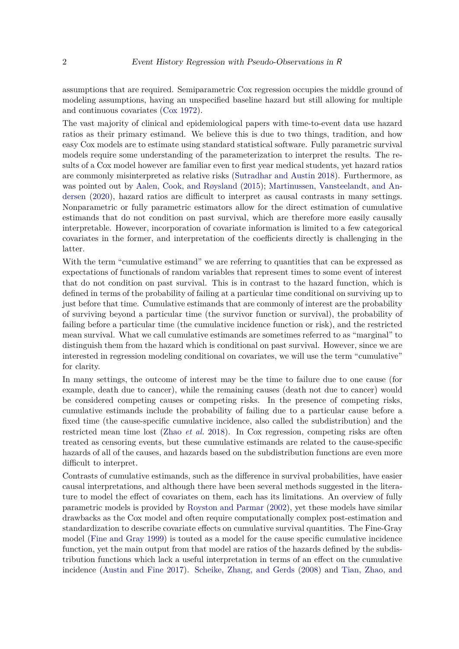assumptions that are required. Semiparametric Cox regression occupies the middle ground of modeling assumptions, having an unspecified baseline hazard but still allowing for multiple and continuous covariates [\(Cox](#page-26-0) [1972\)](#page-26-0).

The vast majority of clinical and epidemiological papers with time-to-event data use hazard ratios as their primary estimand. We believe this is due to two things, tradition, and how easy Cox models are to estimate using standard statistical software. Fully parametric survival models require some understanding of the parameterization to interpret the results. The results of a Cox model however are familiar even to first year medical students, yet hazard ratios are commonly misinterpreted as relative risks [\(Sutradhar and Austin](#page-29-0) [2018\)](#page-29-0). Furthermore, as was pointed out by [Aalen, Cook, and Røysland](#page-25-0) [\(2015\)](#page-25-0); [Martinussen, Vansteelandt, and An](#page-27-0)[dersen](#page-27-0) [\(2020\)](#page-27-0), hazard ratios are difficult to interpret as causal contrasts in many settings. Nonparametric or fully parametric estimators allow for the direct estimation of cumulative estimands that do not condition on past survival, which are therefore more easily causally interpretable. However, incorporation of covariate information is limited to a few categorical covariates in the former, and interpretation of the coefficients directly is challenging in the latter.

With the term "cumulative estimand" we are referring to quantities that can be expressed as expectations of functionals of random variables that represent times to some event of interest that do not condition on past survival. This is in contrast to the hazard function, which is defined in terms of the probability of failing at a particular time conditional on surviving up to just before that time. Cumulative estimands that are commonly of interest are the probability of surviving beyond a particular time (the survivor function or survival), the probability of failing before a particular time (the cumulative incidence function or risk), and the restricted mean survival. What we call cumulative estimands are sometimes referred to as "marginal" to distinguish them from the hazard which is conditional on past survival. However, since we are interested in regression modeling conditional on covariates, we will use the term "cumulative" for clarity.

In many settings, the outcome of interest may be the time to failure due to one cause (for example, death due to cancer), while the remaining causes (death not due to cancer) would be considered competing causes or competing risks. In the presence of competing risks, cumulative estimands include the probability of failing due to a particular cause before a fixed time (the cause-specific cumulative incidence, also called the subdistribution) and the restricted mean time lost (Zhao *[et al.](#page-29-1)* [2018\)](#page-29-1). In Cox regression, competing risks are often treated as censoring events, but these cumulative estimands are related to the cause-specific hazards of all of the causes, and hazards based on the subdistribution functions are even more difficult to interpret.

Contrasts of cumulative estimands, such as the difference in survival probabilities, have easier causal interpretations, and although there have been several methods suggested in the literature to model the effect of covariates on them, each has its limitations. An overview of fully parametric models is provided by [Royston and Parmar](#page-28-0) [\(2002\)](#page-28-0), yet these models have similar drawbacks as the Cox model and often require computationally complex post-estimation and standardization to describe covariate effects on cumulative survival quantities. The Fine-Gray model [\(Fine and Gray](#page-26-1) [1999\)](#page-26-1) is touted as a model for the cause specific cumulative incidence function, yet the main output from that model are ratios of the hazards defined by the subdistribution functions which lack a useful interpretation in terms of an effect on the cumulative incidence [\(Austin and Fine](#page-26-2) [2017\)](#page-26-2). [Scheike, Zhang, and Gerds](#page-28-1) [\(2008\)](#page-28-1) and [Tian, Zhao, and](#page-29-2)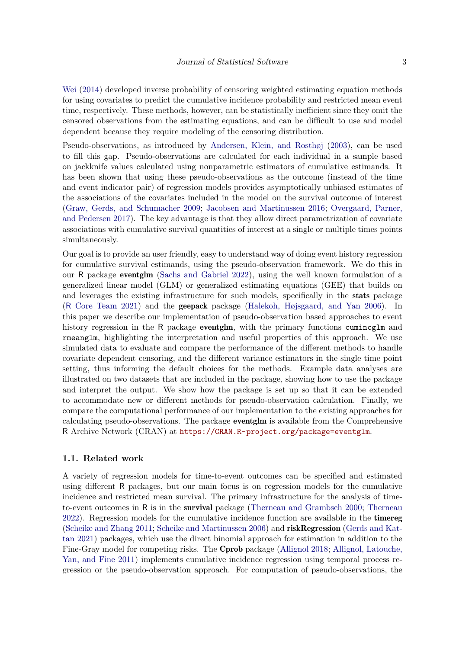[Wei](#page-29-2) [\(2014\)](#page-29-2) developed inverse probability of censoring weighted estimating equation methods for using covariates to predict the cumulative incidence probability and restricted mean event time, respectively. These methods, however, can be statistically inefficient since they omit the censored observations from the estimating equations, and can be difficult to use and model dependent because they require modeling of the censoring distribution.

Pseudo-observations, as introduced by [Andersen, Klein, and Rosthøj](#page-26-3) [\(2003\)](#page-26-3), can be used to fill this gap. Pseudo-observations are calculated for each individual in a sample based on jackknife values calculated using nonparametric estimators of cumulative estimands. It has been shown that using these pseudo-observations as the outcome (instead of the time and event indicator pair) of regression models provides asymptotically unbiased estimates of the associations of the covariates included in the model on the survival outcome of interest [\(Graw, Gerds, and Schumacher](#page-27-1) [2009;](#page-27-1) [Jacobsen and Martinussen](#page-27-2) [2016;](#page-27-2) [Overgaard, Parner,](#page-27-3) [and Pedersen](#page-27-3) [2017\)](#page-27-3). The key advantage is that they allow direct parametrization of covariate associations with cumulative survival quantities of interest at a single or multiple times points simultaneously.

Our goal is to provide an user friendly, easy to understand way of doing event history regression for cumulative survival estimands, using the pseudo-observation framework. We do this in our R package eventglm [\(Sachs and Gabriel](#page-28-2) [2022\)](#page-28-2), using the well known formulation of a generalized linear model (GLM) or generalized estimating equations (GEE) that builds on and leverages the existing infrastructure for such models, specifically in the stats package (R [Core Team](#page-28-3) [2021\)](#page-28-3) and the geepack package [\(Halekoh, Højsgaard, and Yan](#page-27-4) [2006\)](#page-27-4). In this paper we describe our implementation of pseudo-observation based approaches to event history regression in the R package **eventglm**, with the primary functions cumincglm and rmeanglm, highlighting the interpretation and useful properties of this approach. We use simulated data to evaluate and compare the performance of the different methods to handle covariate dependent censoring, and the different variance estimators in the single time point setting, thus informing the default choices for the methods. Example data analyses are illustrated on two datasets that are included in the package, showing how to use the package and interpret the output. We show how the package is set up so that it can be extended to accommodate new or different methods for pseudo-observation calculation. Finally, we compare the computational performance of our implementation to the existing approaches for calculating pseudo-observations. The package eventglm is available from the Comprehensive R Archive Network (CRAN) at <https://CRAN.R-project.org/package=eventglm>.

#### **1.1. Related work**

A variety of regression models for time-to-event outcomes can be specified and estimated using different R packages, but our main focus is on regression models for the cumulative incidence and restricted mean survival. The primary infrastructure for the analysis of timeto-event outcomes in R is in the **survival** package [\(Therneau and Grambsch](#page-29-3) [2000;](#page-29-3) [Therneau](#page-29-4) [2022\)](#page-29-4). Regression models for the cumulative incidence function are available in the timereg [\(Scheike and Zhang](#page-28-4) [2011;](#page-28-4) [Scheike and Martinussen](#page-28-5) [2006\)](#page-28-5) and riskRegression [\(Gerds and Kat](#page-27-5)[tan](#page-27-5) [2021\)](#page-27-5) packages, which use the direct binomial approach for estimation in addition to the Fine-Gray model for competing risks. The Cprob package [\(Allignol](#page-26-4) [2018;](#page-26-4) [Allignol, Latouche,](#page-26-5) [Yan, and Fine](#page-26-5) [2011\)](#page-26-5) implements cumulative incidence regression using temporal process regression or the pseudo-observation approach. For computation of pseudo-observations, the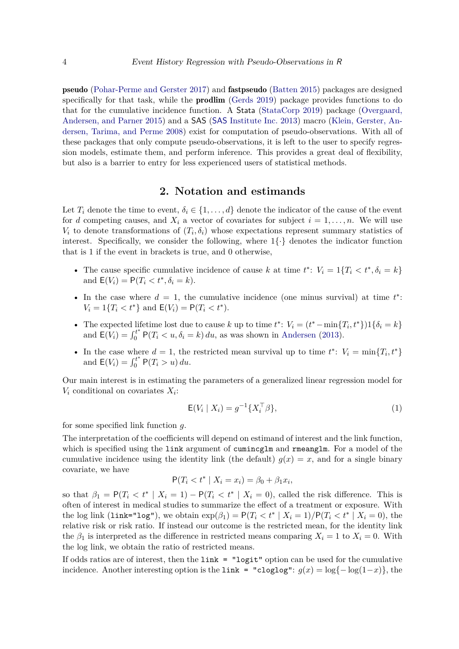pseudo [\(Pohar-Perme and Gerster](#page-28-6) [2017\)](#page-28-6) and fastpseudo [\(Batten](#page-26-6) [2015\)](#page-26-6) packages are designed specifically for that task, while the **prodlim** [\(Gerds](#page-26-7) [2019\)](#page-26-7) package provides functions to do that for the cumulative incidence function. A Stata [\(StataCorp](#page-28-7) [2019\)](#page-28-7) package [\(Overgaard,](#page-27-6) [Andersen, and Parner](#page-27-6) [2015\)](#page-27-6) and a SAS (SAS [Institute Inc.](#page-28-8) [2013\)](#page-28-8) macro [\(Klein, Gerster, An](#page-27-7)[dersen, Tarima, and Perme](#page-27-7) [2008\)](#page-27-7) exist for computation of pseudo-observations. With all of these packages that only compute pseudo-observations, it is left to the user to specify regression models, estimate them, and perform inference. This provides a great deal of flexibility, but also is a barrier to entry for less experienced users of statistical methods.

### **2. Notation and estimands**

Let  $T_i$  denote the time to event,  $\delta_i \in \{1, \ldots, d\}$  denote the indicator of the cause of the event for *d* competing causes, and  $X_i$  a vector of covariates for subject  $i = 1, \ldots, n$ . We will use  $V_i$  to denote transformations of  $(T_i, \delta_i)$  whose expectations represent summary statistics of interest. Specifically, we consider the following, where  $1\{\cdot\}$  denotes the indicator function that is 1 if the event in brackets is true, and 0 otherwise,

- The cause specific cumulative incidence of cause *k* at time  $t^*$ :  $V_i = 1\{T_i \le t^*, \delta_i = k\}$ and  $E(V_i) = P(T_i < t^*, \delta_i = k)$ .
- In the case where  $d = 1$ , the cumulative incidence (one minus survival) at time  $t^*$ :  $V_i = 1\{T_i < t^*\}\$ and  $\mathsf{E}(V_i) = \mathsf{P}(T_i < t^*)$ .
- The expected lifetime lost due to cause *k* up to time  $t^*$ :  $V_i = (t^* \min\{T_i, t^*\})1\{\delta_i = k\}$ and  $E(V_i) = \int_0^{t^*} P(T_i < u, \delta_i = k) \, du$ , as was shown in [Andersen](#page-26-8) [\(2013\)](#page-26-8).
- In the case where  $d = 1$ , the restricted mean survival up to time  $t^*$ :  $V_i = \min\{T_i, t^*\}$ and  $E(V_i) = \int_0^{t^*} P(T_i > u) du$ .

Our main interest is in estimating the parameters of a generalized linear regression model for  $V_i$  conditional on covariates  $X_i$ :

<span id="page-3-0"></span>
$$
E(V_i \mid X_i) = g^{-1}\{X_i^{\top} \beta\},\tag{1}
$$

for some specified link function *g*.

The interpretation of the coefficients will depend on estimand of interest and the link function, which is specified using the link argument of cumincglm and rmeanglm. For a model of the cumulative incidence using the identity link (the default)  $g(x) = x$ , and for a single binary covariate, we have

$$
P(T_i < t^* \mid X_i = x_i) = \beta_0 + \beta_1 x_i,
$$

so that  $\beta_1 = P(T_i \leq t^* \mid X_i = 1) - P(T_i \leq t^* \mid X_i = 0)$ , called the risk difference. This is often of interest in medical studies to summarize the effect of a treatment or exposure. With the log link (link="log"), we obtain  $\exp(\beta_1) = P(T_i \le t^* | X_i = 1) / P(T_i \le t^* | X_i = 0)$ , the relative risk or risk ratio. If instead our outcome is the restricted mean, for the identity link the  $\beta_1$  is interpreted as the difference in restricted means comparing  $X_i = 1$  to  $X_i = 0$ . With the log link, we obtain the ratio of restricted means.

If odds ratios are of interest, then the link = "logit" option can be used for the cumulative incidence. Another interesting option is the link = "cloglog":  $g(x) = \log(-\log(1-x))$ , the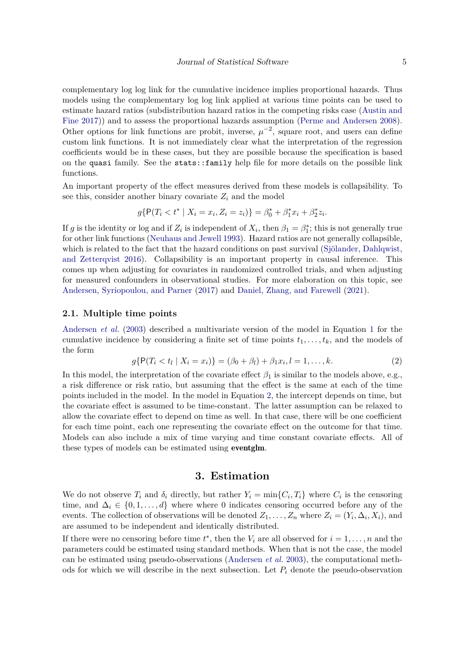complementary log log link for the cumulative incidence implies proportional hazards. Thus models using the complementary log log link applied at various time points can be used to estimate hazard ratios (subdistribution hazard ratios in the competing risks case [\(Austin and](#page-26-2) [Fine](#page-26-2) [2017\)](#page-26-2)) and to assess the proportional hazards assumption [\(Perme and Andersen](#page-28-9) [2008\)](#page-28-9). Other options for link functions are probit, inverse,  $\mu^{-2}$ , square root, and users can define custom link functions. It is not immediately clear what the interpretation of the regression coefficients would be in these cases, but they are possible because the specification is based on the quasi family. See the stats::family help file for more details on the possible link functions.

An important property of the effect measures derived from these models is collapsibility. To see this, consider another binary covariate  $Z_i$  and the model

$$
g\{\mathsf{P}(T_i < t^* \mid X_i = x_i, Z_i = z_i)\} = \beta_0^* + \beta_1^* x_i + \beta_2^* z_i.
$$

If *g* is the identity or log and if  $Z_i$  is independent of  $X_i$ , then  $\beta_1 = \beta_1^*$ ; this is not generally true for other link functions [\(Neuhaus and Jewell](#page-27-8) [1993\)](#page-27-8). Hazard ratios are not generally collapsible, which is related to the fact that the hazard conditions on past survival [\(Sjölander, Dahlqwist,](#page-28-10) [and Zetterqvist](#page-28-10) [2016\)](#page-28-10). Collapsibility is an important property in causal inference. This comes up when adjusting for covariates in randomized controlled trials, and when adjusting for measured confounders in observational studies. For more elaboration on this topic, see [Andersen, Syriopoulou, and Parner](#page-26-9) [\(2017\)](#page-26-9) and [Daniel, Zhang, and Farewell](#page-26-10) [\(2021\)](#page-26-10).

#### **2.1. Multiple time points**

[Andersen](#page-26-3) *et al.* [\(2003\)](#page-26-3) described a multivariate version of the model in Equation [1](#page-3-0) for the cumulative incidence by considering a finite set of time points  $t_1, \ldots, t_k$ , and the models of the form

<span id="page-4-0"></span>
$$
g\{\mathsf{P}(T_i < t_l \mid X_i = x_i)\} = (\beta_0 + \beta_l) + \beta_1 x_i, l = 1, \dots, k. \tag{2}
$$

In this model, the interpretation of the covariate effect  $\beta_1$  is similar to the models above, e.g., a risk difference or risk ratio, but assuming that the effect is the same at each of the time points included in the model. In the model in Equation [2,](#page-4-0) the intercept depends on time, but the covariate effect is assumed to be time-constant. The latter assumption can be relaxed to allow the covariate effect to depend on time as well. In that case, there will be one coefficient for each time point, each one representing the covariate effect on the outcome for that time. Models can also include a mix of time varying and time constant covariate effects. All of these types of models can be estimated using eventglm.

### **3. Estimation**

We do not observe  $T_i$  and  $\delta_i$  directly, but rather  $Y_i = \min\{C_i, T_i\}$  where  $C_i$  is the censoring time, and  $\Delta_i \in \{0, 1, \ldots, d\}$  where where 0 indicates censoring occurred before any of the events. The collection of observations will be denoted  $Z_1, \ldots, Z_n$  where  $Z_i = (Y_i, \Delta_i, X_i)$ , and are assumed to be independent and identically distributed.

If there were no censoring before time  $t^*$ , then the  $V_i$  are all observed for  $i = 1, \ldots, n$  and the parameters could be estimated using standard methods. When that is not the case, the model can be estimated using pseudo-observations [\(Andersen](#page-26-3) *et al.* [2003\)](#page-26-3), the computational methods for which we will describe in the next subsection. Let  $P_i$  denote the pseudo-observation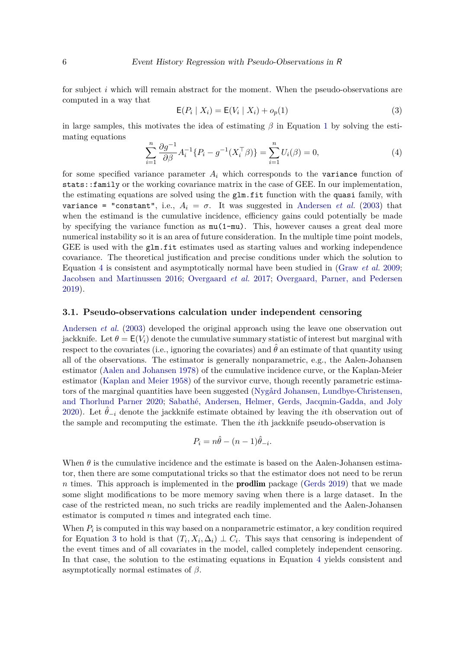for subject *i* which will remain abstract for the moment. When the pseudo-observations are computed in a way that

<span id="page-5-1"></span>
$$
E(P_i | X_i) = E(V_i | X_i) + o_p(1)
$$
\n(3)

in large samples, this motivates the idea of estimating  $\beta$  in Equation [1](#page-3-0) by solving the estimating equations

<span id="page-5-0"></span>
$$
\sum_{i=1}^{n} \frac{\partial g^{-1}}{\partial \beta} A_i^{-1} \{ P_i - g^{-1} (X_i^{\top} \beta) \} = \sum_{i=1}^{n} U_i(\beta) = 0,
$$
\n(4)

for some specified variance parameter  $A_i$  which corresponds to the variance function of stats::family or the working covariance matrix in the case of GEE. In our implementation, the estimating equations are solved using the glm.fit function with the quasi family, with variance = "constant", i.e.,  $A_i = \sigma$ . It was suggested in [Andersen](#page-26-3) *et al.* [\(2003\)](#page-26-3) that when the estimand is the cumulative incidence, efficiency gains could potentially be made by specifying the variance function as  $mu(1-mu)$ . This, however causes a great deal more numerical instability so it is an area of future consideration. In the multiple time point models, GEE is used with the  $g1m.fit$  estimates used as starting values and working independence covariance. The theoretical justification and precise conditions under which the solution to Equation [4](#page-5-0) is consistent and asymptotically normal have been studied in [\(Graw](#page-27-1) *et al.* [2009;](#page-27-1) [Jacobsen and Martinussen](#page-27-2) [2016;](#page-27-2) [Overgaard](#page-27-3) *et al.* [2017;](#page-27-3) [Overgaard, Parner, and Pedersen](#page-27-9) [2019\)](#page-27-9).

#### **3.1. Pseudo-observations calculation under independent censoring**

[Andersen](#page-26-3) *et al.* [\(2003\)](#page-26-3) developed the original approach using the leave one observation out jackknife. Let  $\theta = E(V_i)$  denote the cumulative summary statistic of interest but marginal with respect to the covariates (i.e., ignoring the covariates) and  $\hat{\theta}$  an estimate of that quantity using all of the observations. The estimator is generally nonparametric, e.g., the Aalen-Johansen estimator [\(Aalen and Johansen](#page-25-1) [1978\)](#page-25-1) of the cumulative incidence curve, or the Kaplan-Meier estimator [\(Kaplan and Meier](#page-27-10) [1958\)](#page-27-10) of the survivor curve, though recently parametric estimators of the marginal quantities have been suggested [\(Nygård Johansen, Lundbye-Christensen,](#page-27-11) [and Thorlund Parner](#page-27-11) [2020;](#page-27-11) [Sabathé, Andersen, Helmer, Gerds, Jacqmin-Gadda, and Joly](#page-28-11) [2020\)](#page-28-11). Let  $\theta_{-i}$  denote the jackknife estimate obtained by leaving the *i*th observation out of the sample and recomputing the estimate. Then the *i*th jackknife pseudo-observation is

$$
P_i = n\hat{\theta} - (n-1)\hat{\theta}_{-i}.
$$

When  $\theta$  is the cumulative incidence and the estimate is based on the Aalen-Johansen estimator, then there are some computational tricks so that the estimator does not need to be rerun *n* times. This approach is implemented in the **prodlim** package [\(Gerds](#page-26-7) [2019\)](#page-26-7) that we made some slight modifications to be more memory saving when there is a large dataset. In the case of the restricted mean, no such tricks are readily implemented and the Aalen-Johansen estimator is computed *n* times and integrated each time.

When  $P_i$  is computed in this way based on a nonparametric estimator, a key condition required for Equation [3](#page-5-1) to hold is that  $(T_i, X_i, \Delta_i) \perp C_i$ . This says that censoring is independent of the event times and of all covariates in the model, called completely independent censoring. In that case, the solution to the estimating equations in Equation [4](#page-5-0) yields consistent and asymptotically normal estimates of *β*.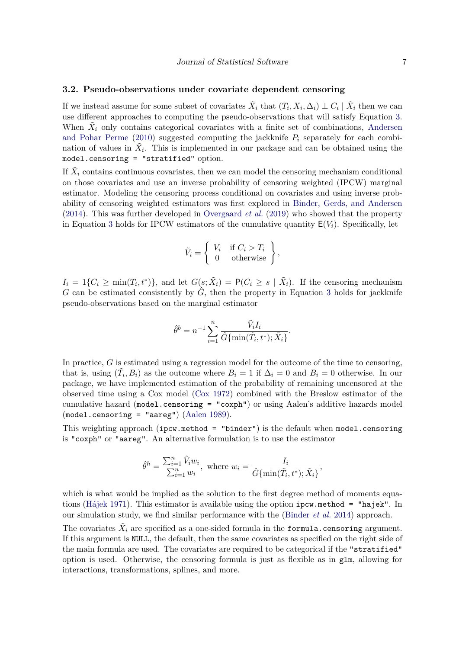### **3.2. Pseudo-observations under covariate dependent censoring**

If we instead assume for some subset of covariates  $\tilde{X}_i$  that  $(T_i, X_i, \Delta_i) \perp C_i \mid \tilde{X}_i$  then we can use different approaches to computing the pseudo-observations that will satisfy Equation [3.](#page-5-1) When  $\tilde{X}_i$  only contains categorical covariates with a finite set of combinations, [Andersen](#page-26-11) [and Pohar Perme](#page-26-11) [\(2010\)](#page-26-11) suggested computing the jackknife  $P_i$  separately for each combination of values in  $\tilde{X}_i$ . This is implemented in our package and can be obtained using the model.censoring = "stratified" option.

If  $\tilde{X}_i$  contains continuous covariates, then we can model the censoring mechanism conditional on those covariates and use an inverse probability of censoring weighted (IPCW) marginal estimator. Modeling the censoring process conditional on covariates and using inverse probability of censoring weighted estimators was first explored in [Binder, Gerds, and Andersen](#page-26-12) [\(2014\)](#page-26-12). This was further developed in [Overgaard](#page-27-9) *et al.* [\(2019\)](#page-27-9) who showed that the property in Equation [3](#page-5-1) holds for IPCW estimators of the cumulative quantity  $E(V_i)$ . Specifically, let

$$
\tilde{V}_i = \left\{ \begin{array}{ll} V_i & \text{if } C_i > T_i \\ 0 & \text{otherwise} \end{array} \right\},
$$

 $I_i = 1\{C_i \ge \min(T_i, t^*)\}$ , and let  $G(s, \tilde{X}_i) = P(C_i \ge s \mid \tilde{X}_i)$ . If the censoring mechanism *G* can be estimated consistently by  $\hat{G}$ , then the property in Equation [3](#page-5-1) holds for jackknife pseudo-observations based on the marginal estimator

$$
\hat{\theta}^b = n^{-1} \sum_{i=1}^n \frac{\tilde{V}_i I_i}{\hat{G} \{ \min(\tilde{T}_i, t^*); \tilde{X}_i \}}.
$$

In practice, *G* is estimated using a regression model for the outcome of the time to censoring, that is, using  $(\tilde{T}_i, B_i)$  as the outcome where  $B_i = 1$  if  $\Delta_i = 0$  and  $B_i = 0$  otherwise. In our package, we have implemented estimation of the probability of remaining uncensored at the observed time using a Cox model [\(Cox](#page-26-0) [1972\)](#page-26-0) combined with the Breslow estimator of the cumulative hazard (model.censoring = "coxph") or using Aalen's additive hazards model (model.censoring = "aareg") [\(Aalen](#page-25-2) [1989\)](#page-25-2).

This weighting approach (ipcw.method = "binder") is the default when model.censoring is "coxph" or "aareg". An alternative formulation is to use the estimator

$$
\hat{\theta}^h = \frac{\sum_{i=1}^n \tilde{V}_i w_i}{\sum_{i=1}^n w_i}, \text{ where } w_i = \frac{I_i}{\hat{G}\{\min(\tilde{T}_i, t^*); \tilde{X}_i\}},
$$

which is what would be implied as the solution to the first degree method of moments equations [\(Hájek](#page-27-12) [1971\)](#page-27-12). This estimator is available using the option ipcw.method = "hajek". In our simulation study, we find similar performance with the [\(Binder](#page-26-12) *et al.* [2014\)](#page-26-12) approach.

The covariates  $\tilde{X}_i$  are specified as a one-sided formula in the formula.censoring argument. If this argument is NULL, the default, then the same covariates as specified on the right side of the main formula are used. The covariates are required to be categorical if the "stratified" option is used. Otherwise, the censoring formula is just as flexible as in  $g \text{1m}$ , allowing for interactions, transformations, splines, and more.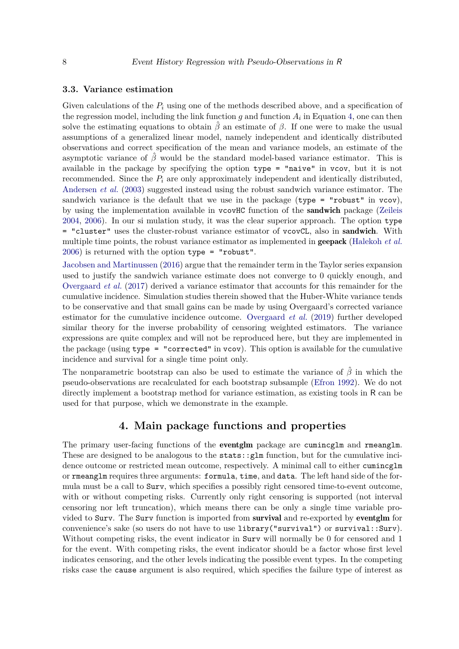#### **3.3. Variance estimation**

Given calculations of the *P<sup>i</sup>* using one of the methods described above, and a specification of the regression model, including the link function  $g$  and function  $A_i$  in Equation [4,](#page-5-0) one can then solve the estimating equations to obtain  $\hat{\beta}$  an estimate of  $\beta$ . If one were to make the usual assumptions of a generalized linear model, namely independent and identically distributed observations and correct specification of the mean and variance models, an estimate of the asymptotic variance of  $\hat{\beta}$  would be the standard model-based variance estimator. This is available in the package by specifying the option type = "naive" in vcov, but it is not recommended. Since the *P<sup>i</sup>* are only approximately independent and identically distributed, [Andersen](#page-26-3) *et al.* [\(2003\)](#page-26-3) suggested instead using the robust sandwich variance estimator. The sandwich variance is the default that we use in the package ( $type = "robust"$  in  $vcov$ ), by using the implementation available in vcovHC function of the sandwich package [\(Zeileis](#page-29-5) [2004,](#page-29-5) [2006\)](#page-29-6). In our si mulation study, it was the clear superior approach. The option type = "cluster" uses the cluster-robust variance estimator of vcovCL, also in sandwich. With multiple time points, the robust variance estimator as implemented in geepack [\(Halekoh](#page-27-4) *et al.* [2006\)](#page-27-4) is returned with the option type = "robust".

[Jacobsen and Martinussen](#page-27-2) [\(2016\)](#page-27-2) argue that the remainder term in the Taylor series expansion used to justify the sandwich variance estimate does not converge to 0 quickly enough, and [Overgaard](#page-27-3) *et al.* [\(2017\)](#page-27-3) derived a variance estimator that accounts for this remainder for the cumulative incidence. Simulation studies therein showed that the Huber-White variance tends to be conservative and that small gains can be made by using Overgaard's corrected variance estimator for the cumulative incidence outcome. [Overgaard](#page-27-9) *et al.* [\(2019\)](#page-27-9) further developed similar theory for the inverse probability of censoring weighted estimators. The variance expressions are quite complex and will not be reproduced here, but they are implemented in the package (using type = "corrected" in vcov). This option is available for the cumulative incidence and survival for a single time point only.

The nonparametric bootstrap can also be used to estimate the variance of  $\hat{\beta}$  in which the pseudo-observations are recalculated for each bootstrap subsample [\(Efron](#page-26-13) [1992\)](#page-26-13). We do not directly implement a bootstrap method for variance estimation, as existing tools in R can be used for that purpose, which we demonstrate in the example.

### **4. Main package functions and properties**

The primary user-facing functions of the **eventglm** package are cumincglm and rmeanglm. These are designed to be analogous to the stats:  $\texttt{glm}$  function, but for the cumulative incidence outcome or restricted mean outcome, respectively. A minimal call to either cumincglm or rmeanglm requires three arguments: formula, time, and data. The left hand side of the formula must be a call to Surv, which specifies a possibly right censored time-to-event outcome, with or without competing risks. Currently only right censoring is supported (not interval censoring nor left truncation), which means there can be only a single time variable provided to Surv. The Surv function is imported from survival and re-exported by eventglm for convenience's sake (so users do not have to use library("survival") or survival::Surv). Without competing risks, the event indicator in Surv will normally be 0 for censored and 1 for the event. With competing risks, the event indicator should be a factor whose first level indicates censoring, and the other levels indicating the possible event types. In the competing risks case the cause argument is also required, which specifies the failure type of interest as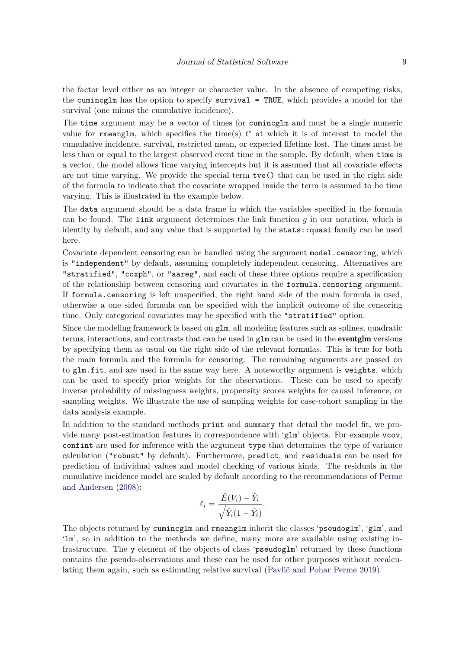the factor level either as an integer or character value. In the absence of competing risks, the cumincglm has the option to specify survival = TRUE, which provides a model for the survival (one minus the cumulative incidence).

The time argument may be a vector of times for cumincglm and must be a single numeric value for rmeanglm, which specifies the time(s)  $t^*$  at which it is of interest to model the cumulative incidence, survival, restricted mean, or expected lifetime lost. The times must be less than or equal to the largest observed event time in the sample. By default, when time is a vector, the model allows time varying intercepts but it is assumed that all covariate effects are not time varying. We provide the special term tve() that can be used in the right side of the formula to indicate that the covariate wrapped inside the term is assumed to be time varying. This is illustrated in the example below.

The data argument should be a data frame in which the variables specified in the formula can be found. The link argument determines the link function *g* in our notation, which is identity by default, and any value that is supported by the stats::quasi family can be used here.

Covariate dependent censoring can be handled using the argument model.censoring, which is "independent" by default, assuming completely independent censoring. Alternatives are "stratified", "coxph", or "aareg", and each of these three options require a specification of the relationship between censoring and covariates in the formula.censoring argument. If formula.censoring is left unspecified, the right hand side of the main formula is used, otherwise a one sided formula can be specified with the implicit outcome of the censoring time. Only categorical covariates may be specified with the "stratified" option.

Since the modeling framework is based on  $g1m$ , all modeling features such as splines, quadratic terms, interactions, and contrasts that can be used in glm can be used in the **eventglm** versions by specifying them as usual on the right side of the relevant formulas. This is true for both the main formula and the formula for censoring. The remaining arguments are passed on to glm.fit, and are used in the same way here. A noteworthy argument is weights, which can be used to specify prior weights for the observations. These can be used to specify inverse probability of missingness weights, propensity scores weights for causal inference, or sampling weights. We illustrate the use of sampling weights for case-cohort sampling in the data analysis example.

In addition to the standard methods print and summary that detail the model fit, we provide many post-estimation features in correspondence with 'glm' objects. For example vcov, confint are used for inference with the argument type that determines the type of variance calculation ("robust" by default). Furthermore, predict, and residuals can be used for prediction of individual values and model checking of various kinds. The residuals in the cumulative incidence model are scaled by default according to the recommendations of [Perme](#page-28-9) [and Andersen](#page-28-9) [\(2008\)](#page-28-9):

$$
\hat{\varepsilon}_i = \frac{\hat{E}(V_i) - \hat{Y}_i}{\sqrt{\hat{Y}_i(1 - \hat{Y}_i)}}.
$$

The objects returned by cumincglm and rmeanglm inherit the classes 'pseudoglm', 'glm', and 'lm', so in addition to the methods we define, many more are available using existing infrastructure. The y element of the objects of class 'pseudoglm' returned by these functions contains the pseudo-observations and these can be used for other purposes without recalculating them again, such as estimating relative survival [\(Pavlič and Pohar Perme](#page-28-12) [2019\)](#page-28-12).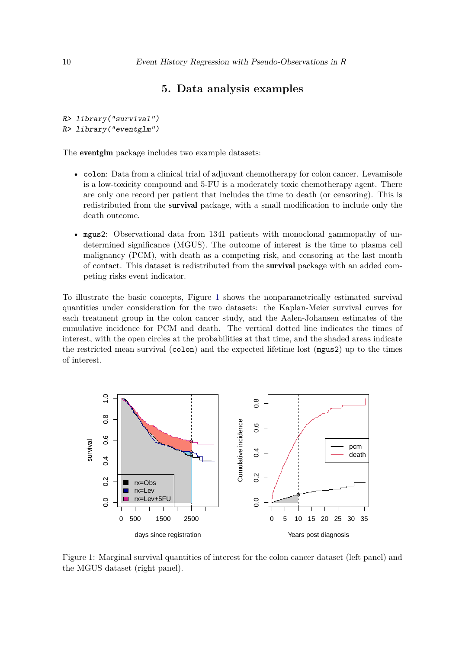### **5. Data analysis examples**

R> library("survival") R> library("eventglm")

The eventglm package includes two example datasets:

- colon: Data from a clinical trial of adjuvant chemotherapy for colon cancer. Levamisole is a low-toxicity compound and 5-FU is a moderately toxic chemotherapy agent. There are only one record per patient that includes the time to death (or censoring). This is redistributed from the survival package, with a small modification to include only the death outcome.
- mgus2: Observational data from 1341 patients with monoclonal gammopathy of undetermined significance (MGUS). The outcome of interest is the time to plasma cell malignancy (PCM), with death as a competing risk, and censoring at the last month of contact. This dataset is redistributed from the survival package with an added competing risks event indicator.

To illustrate the basic concepts, Figure [1](#page-9-0) shows the nonparametrically estimated survival quantities under consideration for the two datasets: the Kaplan-Meier survival curves for each treatment group in the colon cancer study, and the Aalen-Johansen estimates of the cumulative incidence for PCM and death. The vertical dotted line indicates the times of interest, with the open circles at the probabilities at that time, and the shaded areas indicate the restricted mean survival (colon) and the expected lifetime lost (mgus2) up to the times of interest.



<span id="page-9-0"></span>Figure 1: Marginal survival quantities of interest for the colon cancer dataset (left panel) and the MGUS dataset (right panel).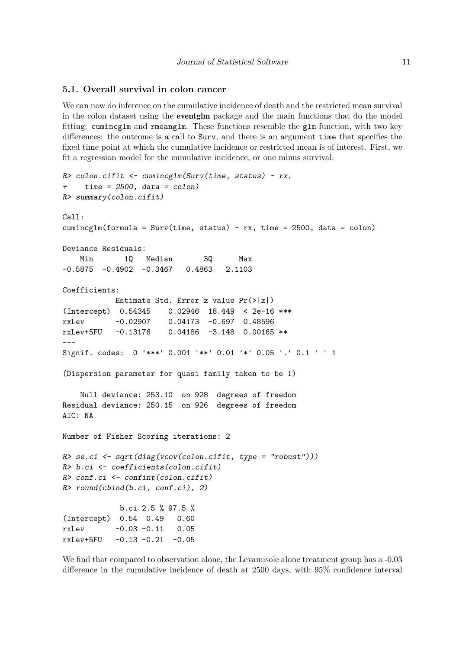#### **5.1. Overall survival in colon cancer**

We can now do inference on the cumulative incidence of death and the restricted mean survival in the colon dataset using the eventglm package and the main functions that do the model fitting: cumincglm and rmeanglm. These functions resemble the glm function, with two key differences: the outcome is a call to Surv, and there is an argument time that specifies the fixed time point at which the cumulative incidence or restricted mean is of interest. First, we fit a regression model for the cumulative incidence, or one minus survival:

```
R> colon.cifit <- cumincglm(Surv(time, status) ~ rx,
+ time = 2500, data = colon)
R> summary(colon.cifit)
Ca11:cumincglm(formula = Surv(time, status) \sim rx, time = 2500, data = colon)
Deviance Residuals:
   Min 1Q Median 3Q Max
-0.5875 -0.4902 -0.3467 0.4863 2.1103
Coefficients:
           Estimate Std. Error z value Pr(>|z|)
(Intercept) 0.54345 0.02946 18.449 < 2e-16 ***
rxLev -0.02907 0.04173 -0.697 0.48596
rxLev+5FU -0.13176 0.04186 -3.148 0.00165 **
---
Signif. codes: 0 '***' 0.001 '**' 0.01 '*' 0.05 '.' 0.1 ' ' 1
(Dispersion parameter for quasi family taken to be 1)
   Null deviance: 253.10 on 928 degrees of freedom
Residual deviance: 250.15 on 926 degrees of freedom
AIC: NA
Number of Fisher Scoring iterations: 2
R> se.ci <- sqrt(diag(vcov(colon.cifit, type = "robust")))
R> b.ci <- coefficients(colon.cifit)
R> conf.ci <- confint(colon.cifit)
R> round(cbind(b.ci, conf.ci), 2)
            b.ci 2.5 % 97.5 %
(Intercept) 0.54 0.49 0.60
rxLev -0.03 -0.11 0.05
rxLev+5FU -0.13 -0.21 -0.05
```
We find that compared to observation alone, the Levamisole alone treatment group has a  $-0.03$ difference in the cumulative incidence of death at 2500 days, with 95% confidence interval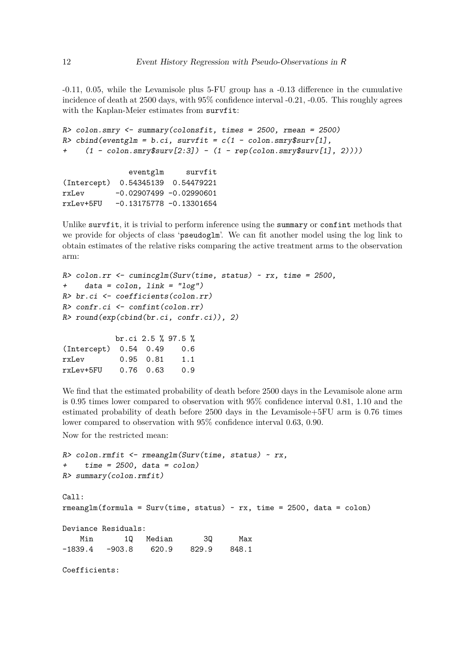-0.11, 0.05, while the Levamisole plus 5-FU group has a -0.13 difference in the cumulative incidence of death at 2500 days, with 95% confidence interval -0.21, -0.05. This roughly agrees with the Kaplan-Meier estimates from survfit:

```
R> colon.smry <- summary(colonsfit, times = 2500, rmean = 2500)
R> cbind(eventglm = b.ci, survfit = c(1 - colon.smrv$surv[1],
+ (1 - \text{colon.smry$surv[2:3]) - (1 - \text{rep}(\text{colon.smry$surv[1], 2))))eventglm survfit
(Intercept) 0.54345139 0.54479221
```
rxLev -0.02907499 -0.02990601 rxLev+5FU -0.13175778 -0.13301654

Unlike survfit, it is trivial to perform inference using the summary or confint methods that we provide for objects of class 'pseudoglm'. We can fit another model using the log link to obtain estimates of the relative risks comparing the active treatment arms to the observation arm:

```
R> colon.rr <- cumincglm(Surv(time, status) ~ rx, time = 2500,
+ data = colon, link = "log")
R> br.ci <- coefficients(colon.rr)
R> confr.ci <- confint(colon.rr)
R> round(exp(cbind(br.ci, confr.ci)), 2)
           br.ci 2.5 % 97.5 %
(Intercept) 0.54 0.49 0.6
rxLev 0.95 0.81 1.1
rxLev+5FU 0.76 0.63 0.9
```
We find that the estimated probability of death before 2500 days in the Levamisole alone arm is 0.95 times lower compared to observation with 95% confidence interval 0.81, 1.10 and the estimated probability of death before 2500 days in the Levamisole+5FU arm is 0.76 times lower compared to observation with 95% confidence interval 0.63, 0.90.

Now for the restricted mean:

```
R> colon.rmfit <- rmeanglm(Surv(time, status) ~ rx,
    time = 2500, data = colon)R> summary(colon.rmfit)
Call:
rmeanglm(formula = Surv(time, status) \sim rx, time = 2500, data = colon)
Deviance Residuals:
   Min 1Q Median 3Q Max
-1839.4 -903.8 620.9 829.9 848.1
Coefficients:
```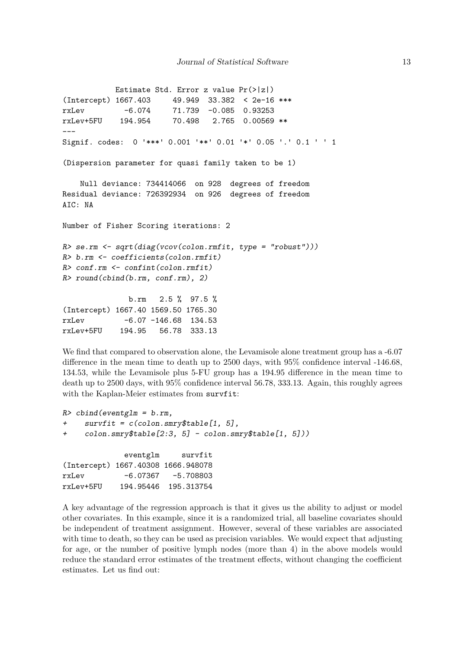```
Estimate Std. Error z value Pr(>|z|)
(Intercept) 1667.403 49.949 33.382 < 2e-16 ***
rxLev -6.074 71.739 -0.085 0.93253
rxLev+5FU 194.954 70.498 2.765 0.00569 **
---
Signif. codes: 0 '***' 0.001 '**' 0.01 '*' 0.05 '.' 0.1 ' ' 1
(Dispersion parameter for quasi family taken to be 1)
   Null deviance: 734414066 on 928 degrees of freedom
Residual deviance: 726392934 on 926 degrees of freedom
AIC: NA
Number of Fisher Scoring iterations: 2
R> se.rm <- sqrt(diag(vcov(colon.rmfit, type = "robust")))
R> b.rm <- coefficients(colon.rmfit)
R> conf.rm <- confint(colon.rmfit)
R> round(cbind(b.rm, conf.rm), 2)
              b.rm 2.5 % 97.5 %
(Intercept) 1667.40 1569.50 1765.30
rxLev -6.07 -146.68 134.53
rxLev+5FU 194.95 56.78 333.13
```
We find that compared to observation alone, the Levamisole alone treatment group has a -6.07 difference in the mean time to death up to 2500 days, with 95% confidence interval -146.68, 134.53, while the Levamisole plus 5-FU group has a 194.95 difference in the mean time to death up to 2500 days, with 95% confidence interval 56.78, 333.13. Again, this roughly agrees with the Kaplan-Meier estimates from survfit:

```
R> cbind(eventglm = b.rm,
    survfit = c(colon.smry$table[1, 5],+ colon.smry$table[2:3, 5] - colon.smry$table[1, 5]))
            eventglm survfit
(Intercept) 1667.40308 1666.948078
rxLev -6.07367 -5.708803
```
rxLev+5FU 194.95446 195.313754

A key advantage of the regression approach is that it gives us the ability to adjust or model other covariates. In this example, since it is a randomized trial, all baseline covariates should be independent of treatment assignment. However, several of these variables are associated with time to death, so they can be used as precision variables. We would expect that adjusting for age, or the number of positive lymph nodes (more than 4) in the above models would reduce the standard error estimates of the treatment effects, without changing the coefficient estimates. Let us find out: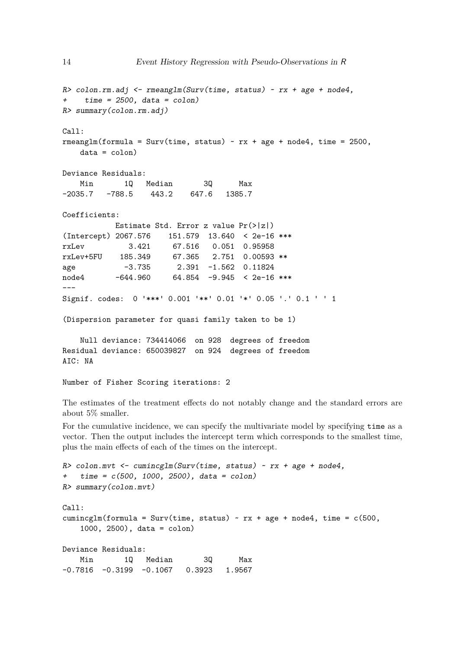```
R> colon.rm.adj <- rmeanglm(Surv(time, status) ~ rx + age + node4,
+ time = 2500, data = colon)
R> summary(colon.rm.adj)
Call:
rmeanglm(formula = Surv(time, status) ~\sim rx + age + node4, time = 2500,
   data = colon)Deviance Residuals:
   Min 1Q Median 3Q Max
-2035.7 -788.5 443.2 647.6 1385.7
Coefficients:
          Estimate Std. Error z value Pr(>|z|)
(Intercept) 2067.576 151.579 13.640 < 2e-16 ***
rxLev 3.421 67.516 0.051 0.95958
rxLev+5FU 185.349 67.365 2.751 0.00593 **
age -3.735 2.391 -1.562 0.11824
node4 -644.960 64.854 -9.945 < 2e-16 ***
---
Signif. codes: 0 '***' 0.001 '**' 0.01 '*' 0.05 '.' 0.1 ' ' 1
(Dispersion parameter for quasi family taken to be 1)
   Null deviance: 734414066 on 928 degrees of freedom
Residual deviance: 650039827 on 924 degrees of freedom
AIC: NA
Number of Fisher Scoring iterations: 2
```
The estimates of the treatment effects do not notably change and the standard errors are about 5% smaller.

For the cumulative incidence, we can specify the multivariate model by specifying time as a vector. Then the output includes the intercept term which corresponds to the smallest time, plus the main effects of each of the times on the intercept.

```
R> colon.mvt <- cumincglm(Surv(time, status) ~ rx + age + node4,
+ time = c(500, 1000, 2500), data = colon)
R> summary(colon.mvt)
Call:
cumincglm(formula = Surv(time, status) ~r x + age + node4, time = c(500,1000, 2500), data = colon)
Deviance Residuals:
   Min 1Q Median 3Q Max
-0.7816 -0.3199 -0.1067 0.3923 1.9567
```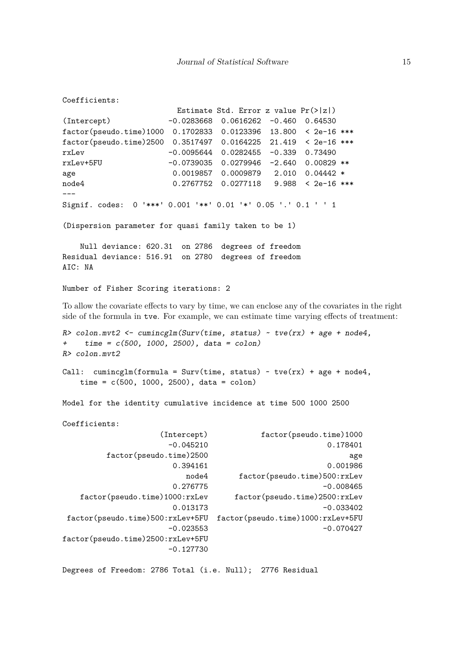Estimate Std. Error z value Pr(>|z|) (Intercept) -0.0283668 0.0616262 -0.460 0.64530 factor(pseudo.time)1000 0.1702833 0.0123396 13.800 < 2e-16 \*\*\* factor(pseudo.time)2500 0.3517497 0.0164225 21.419 < 2e-16 \*\*\* rxLev -0.0095644 0.0282455 -0.339 0.73490 rxLev+5FU -0.0739035 0.0279946 -2.640 0.00829 \*\* age 0.0019857 0.0009879 2.010 0.04442 \* node4 0.2767752 0.0277118 9.988 < 2e-16 \*\*\* Signif. codes: 0 '\*\*\*' 0.001 '\*\*' 0.01 '\*' 0.05 '.' 0.1 ' ' 1

(Dispersion parameter for quasi family taken to be 1)

Null deviance: 620.31 on 2786 degrees of freedom Residual deviance: 516.91 on 2780 degrees of freedom ATC: NA

```
Number of Fisher Scoring iterations: 2
```
Coefficients:

To allow the covariate effects to vary by time, we can enclose any of the covariates in the right side of the formula in tve. For example, we can estimate time varying effects of treatment:

```
R> colon.mvt2 <- cumincglm(Surv(time, status) ~ tve(rx) + age + node4,
+ time = c(500, 1000, 2500), data = colon)
R> colon.mvt2
Call: cumincglm(formula = Surv(time, status) \sim tve(rx) + age + node4,
    time = c(500, 1000, 2500), data = colon)
```
Model for the identity cumulative incidence at time 500 1000 2500

Coefficients: (Intercept) factor(pseudo.time)1000 -0.045210 0.178401 factor(pseudo.time)2500 age 0.394161 0.001986 node4 factor(pseudo.time)500:rxLev 0.276775 -0.008465 factor(pseudo.time)1000:rxLev factor(pseudo.time)2500:rxLev  $0.013173$  -0.033402 factor(pseudo.time)500:rxLev+5FU factor(pseudo.time)1000:rxLev+5FU  $-0.023553$   $-0.070427$ factor(pseudo.time)2500:rxLev+5FU -0.127730

Degrees of Freedom: 2786 Total (i.e. Null); 2776 Residual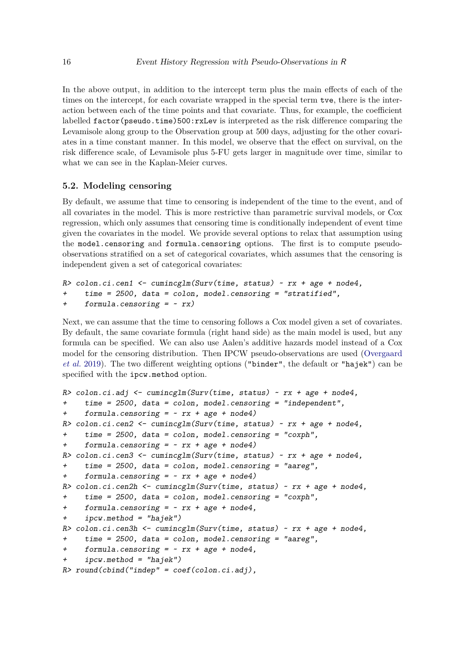In the above output, in addition to the intercept term plus the main effects of each of the times on the intercept, for each covariate wrapped in the special term tve, there is the interaction between each of the time points and that covariate. Thus, for example, the coefficient labelled factor(pseudo.time)500:rxLev is interpreted as the risk difference comparing the Levamisole along group to the Observation group at 500 days, adjusting for the other covariates in a time constant manner. In this model, we observe that the effect on survival, on the risk difference scale, of Levamisole plus 5-FU gets larger in magnitude over time, similar to what we can see in the Kaplan-Meier curves.

### **5.2. Modeling censoring**

By default, we assume that time to censoring is independent of the time to the event, and of all covariates in the model. This is more restrictive than parametric survival models, or Cox regression, which only assumes that censoring time is conditionally independent of event time given the covariates in the model. We provide several options to relax that assumption using the model.censoring and formula.censoring options. The first is to compute pseudoobservations stratified on a set of categorical covariates, which assumes that the censoring is independent given a set of categorical covariates:

```
R> colon.ci.cen1 <- cumincglm(Surv(time, status) ~ rx + age + node4,
    time = 2500, data = colon, model.censoring = "stratified",
+ formula.censoring = ~ rx)
```
Next, we can assume that the time to censoring follows a Cox model given a set of covariates. By default, the same covariate formula (right hand side) as the main model is used, but any formula can be specified. We can also use Aalen's additive hazards model instead of a Cox model for the censoring distribution. Then IPCW pseudo-observations are used [\(Overgaard](#page-27-9) *[et al.](#page-27-9)* [2019\)](#page-27-9). The two different weighting options ("binder", the default or "hajek") can be specified with the ipcw.method option.

```
R> colon.ci.adj <- cumincglm(Surv(time, status) ~ rx + age + node4,
+ time = 2500, data = colon, model.censoring = "independent",
     formula.censoring = ~x rx + age + node4)
R> colon.ci.cen2 <- cumincglm(Surv(time, status) ~ rx + age + node4,
+ time = 2500, data = colon, model.censoring = "coxph",
+ formula.censoring = ~r x + age + node4)
R> colon.ci.cen3 <- cumincglm(Surv(time, status) ~ rx + age + node4,
+ time = 2500, data = colon, model.censoring = "aareg",
+ formula.censoring = ~ rx + age + node4)
R> colon.ci.cen2h <- cumincglm(Surv(time, status) ~ rx + age + node4,
+ time = 2500, data = colon, model.censoring = "coxph",
+ formula.censoring = ~r x + age + node4,
    ipcw.method = "hajek")R> colon.ci.cen3h <- cumincglm(Surv(time, status) ~ rx + age + node4,
+ time = 2500, data = colon, model.censoring = "aareg",
+ formula.censoring = ~ rx + age + node4,
+ ipcw.method = "hajek")
R> round(cbind("indep" = coef(colon.ci.adj),
```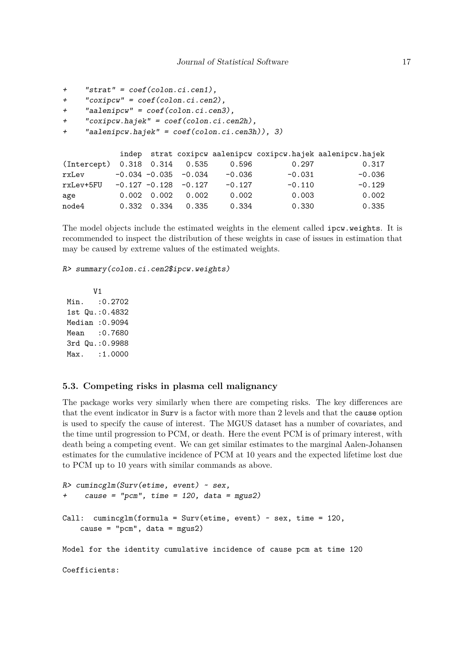```
+ "strat" = coef(colon.ci.cen1),
+ "coxipcw" = coef(colon.ci.cen2),
+ "aalenipcw" = coef(colon.ci.cen3),
+ "coxipcw.hajek" = coef(colon.ci.cen2h),
+ "aalenipcw.hajek" = coef(colon.ci.cen3h)), 3)
          indep strat coxipcw aalenipcw coxipcw.hajek aalenipcw.hajek
(Intercept) 0.318 0.314 0.535 0.596 0.297 0.317
rxLev -0.034 -0.035 -0.034 -0.036 -0.031 -0.036
rxLev+5FU -0.127 -0.128 -0.127 -0.127 -0.110 -0.129
age 0.002 0.002 0.002 0.002 0.003 0.002
node4 0.332 0.334 0.335 0.334 0.330 0.335
```
The model objects include the estimated weights in the element called ipcw.weights. It is recommended to inspect the distribution of these weights in case of issues in estimation that may be caused by extreme values of the estimated weights.

R> summary(colon.ci.cen2\$ipcw.weights)

V1 Min. : 0.2702 1st Qu.:0.4832 Median :0.9094 Mean : 0.7680 3rd Qu.:0.9988 Max. : 1.0000

#### **5.3. Competing risks in plasma cell malignancy**

The package works very similarly when there are competing risks. The key differences are that the event indicator in Surv is a factor with more than 2 levels and that the cause option is used to specify the cause of interest. The MGUS dataset has a number of covariates, and the time until progression to PCM, or death. Here the event PCM is of primary interest, with death being a competing event. We can get similar estimates to the marginal Aalen-Johansen estimates for the cumulative incidence of PCM at 10 years and the expected lifetime lost due to PCM up to 10 years with similar commands as above.

```
R> cumincglm(Surv(etime, event) ~ sex,
+ cause = "pcm", time = 120, data = mgus2)
Call: cumincglm(formula = Surv(etime, event) \sim sex, time = 120,
    cause = "pcm", data = mgus2)Model for the identity cumulative incidence of cause pcm at time 120
Coefficients:
```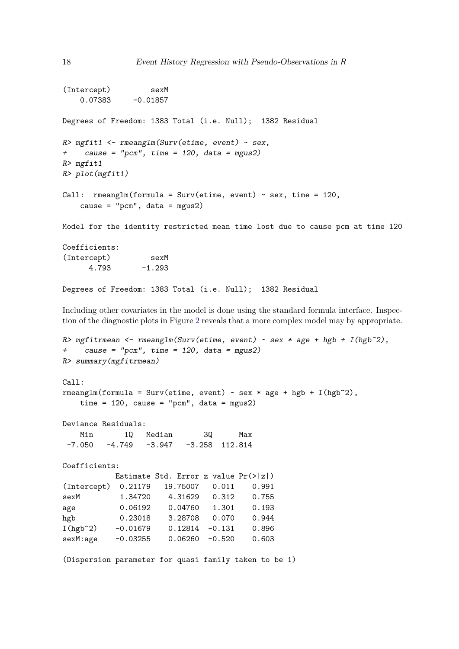```
(Intercept) sexM
   0.07383 -0.01857Degrees of Freedom: 1383 Total (i.e. Null); 1382 Residual
R> mgfit1 <- rmeanglm(Surv(etime, event) ~ sex,
+ cause = "pcm", time = 120, data = mgus2)
R> mgfit1
R> plot(mgfit1)
Call: rmeanglm(formula = Surv(etime, event) ~ sex, time = 120,
   cause = "perm", data = mgus2)Model for the identity restricted mean time lost due to cause pcm at time 120
Coefficients:
(Intercept) sexM
     4.793 -1.293
Degrees of Freedom: 1383 Total (i.e. Null); 1382 Residual
```
Including other covariates in the model is done using the standard formula interface. Inspection of the diagnostic plots in Figure [2](#page-18-0) reveals that a more complex model may by appropriate.

```
R> mgfitrmean <- rmeanglm(Surv(etime, event) ~ sex * age + hgb + I(hgb^2),
+ cause = "pcm", time = 120, data = mgus2)
R> summary(mgfitrmean)
Call:
rmeanglm(formula = Surv(etime, event) ~ sex * age + hgb + I(hgb^2),
   time = 120, cause = "pcm", data = mgus2)
Deviance Residuals:
   Min 1Q Median 3Q Max
-7.050 -4.749 -3.947 -3.258 112.814
Coefficients:
          Estimate Std. Error z value Pr(>|z|)
(Intercept) 0.21179 19.75007 0.011 0.991
sexM 1.34720 4.31629 0.312 0.755
age 0.06192 0.04760 1.301 0.193
hgb 0.23018 3.28708 0.070 0.944
I(hgb^2) -0.01679 0.12814 -0.131 0.896
sexM:age -0.03255 0.06260 -0.520 0.603
(Dispersion parameter for quasi family taken to be 1)
```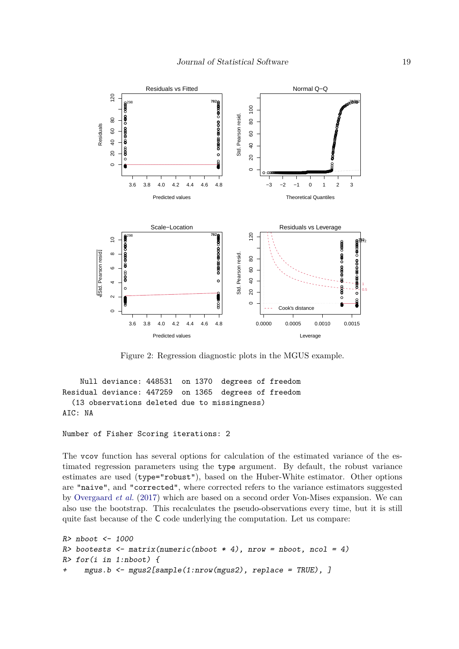

<span id="page-18-0"></span>Figure 2: Regression diagnostic plots in the MGUS example.

Null deviance: 448531 on 1370 degrees of freedom Residual deviance: 447259 on 1365 degrees of freedom (13 observations deleted due to missingness) AIC: NA

Number of Fisher Scoring iterations: 2

The vcov function has several options for calculation of the estimated variance of the estimated regression parameters using the type argument. By default, the robust variance estimates are used (type="robust"), based on the Huber-White estimator. Other options are "naive", and "corrected", where corrected refers to the variance estimators suggested by [Overgaard](#page-27-3) *et al.* [\(2017\)](#page-27-3) which are based on a second order Von-Mises expansion. We can also use the bootstrap. This recalculates the pseudo-observations every time, but it is still quite fast because of the C code underlying the computation. Let us compare:

```
R> nboot <- 1000
R> bootests \le matrix(numeric(nboot * 4), nrow = nboot, ncol = 4)
R> for(i in 1:nboot) {
     mgus.b \leq magus2[sample(1:nvow(mgus2), replace = TRUE), ]
```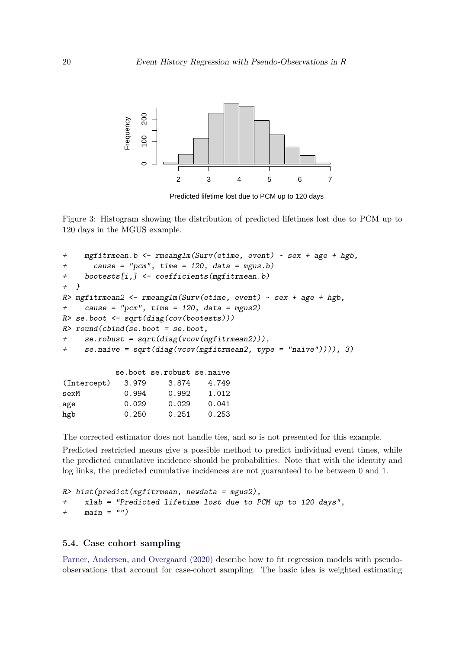

Predicted lifetime lost due to PCM up to 120 days

Figure 3: Histogram showing the distribution of predicted lifetimes lost due to PCM up to 120 days in the MGUS example.

```
+ mgfitrmean.b <- rmeanglm(Surv(etime, event) ~ sex + age + hgb,
+ cause = "pcm", time = 120, data = mgus.b)
+ bootests[i,] <- coefficients(mgfitrmean.b)
+ }
R> mgfitrmean2 <- rmeanglm(Surv(etime, event) ~ sex + age + hgb,
+ cause = "pcm", time = 120, data = mgus2)
R> se.boot <- sqrt(diag(cov(bootests)))
R> round(cbind(se.boot = se.boot,
+ se.robust = sqrt(diag(vcov(mgfitrmean2))),
+ se.naive = sqrt(diag(vcov(mgfitrmean2, type = "naive")))), 3)
          se.boot se.robust se.naive
(Intercept) 3.979 3.874 4.749
sexM 0.994 0.992 1.012
age 0.029 0.029 0.041
hgb 0.250 0.251 0.253
```
The corrected estimator does not handle ties, and so is not presented for this example.

Predicted restricted means give a possible method to predict individual event times, while the predicted cumulative incidence should be probabilities. Note that with the identity and log links, the predicted cumulative incidences are not guaranteed to be between 0 and 1.

```
R> hist(predict(mgfitrmean, newdata = mgus2),
+ xlab = "Predicted lifetime lost due to PCM up to 120 days",
+ main = "")
```
### **5.4. Case cohort sampling**

[Parner, Andersen, and Overgaard](#page-27-13) [\(2020\)](#page-27-13) describe how to fit regression models with pseudoobservations that account for case-cohort sampling. The basic idea is weighted estimating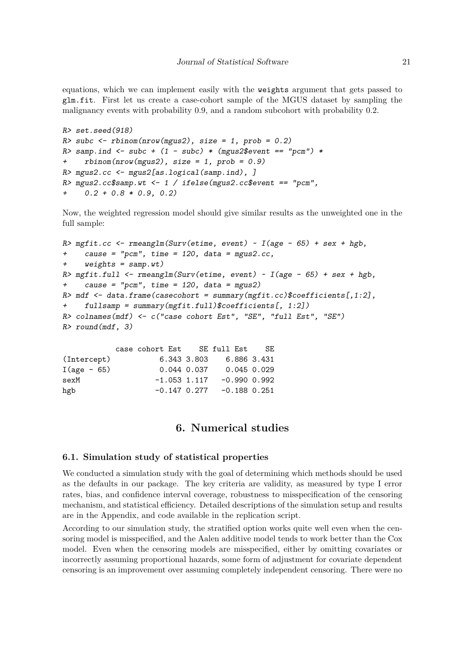equations, which we can implement easily with the weights argument that gets passed to glm.fit. First let us create a case-cohort sample of the MGUS dataset by sampling the malignancy events with probability 0.9, and a random subcohort with probability 0.2.

```
R> set.seed(918)
R> subc \le rbinom(nrow(mgus2), size = 1, prob = 0.2)
R> samp.ind <- subc + (1 - subc) * (mgus2$event == "pcm") *
+ rbinom(nrow(mgus2), size = 1, prob = 0.9)
R> mgus2.cc <- mgus2[as.logical(samp.ind), ]
R> mgus2.cc$samp.wt <- 1 / ifelse(mgus2.cc$event == "pcm",
+ 0.2 + 0.8 * 0.9, 0.2)
```
Now, the weighted regression model should give similar results as the unweighted one in the full sample:

```
R> mgfit.cc \leq rmeanglm(Surv(etime, event) \sim I(age - 65) + sex + hgb,
+ cause = "pcm", time = 120, data = mgus2.cc,
+ weights = samp.wt)
R> mgfit.full \le rmeanglm(Surv(etime, event) \sim I(age - 65) + sex + hgb,
     cause = "pcm", time = 120, data = mgus2)R> mdf \leq data.frame(casecohort = summary(mgfit.cc)$coefficients[,1:2],
+ fullsamp = summary(mgfit.full)$coefficients[, 1:2])
R> colnames(mdf) <- c("case cohort Est", "SE", "full Est", "SE")
R> round(mdf, 3)
```

|  |  |                  | - SE                                                                                            |
|--|--|------------------|-------------------------------------------------------------------------------------------------|
|  |  | 6.886 3.431      |                                                                                                 |
|  |  | 0.045 0.029      |                                                                                                 |
|  |  | $-0.990$ $0.992$ |                                                                                                 |
|  |  |                  |                                                                                                 |
|  |  | 6.343 3.803      | case cohort Est SE full Est<br>$0.044$ 0.037<br>$-1.053$ 1.117<br>$-0.147$ 0.277 $-0.188$ 0.251 |

### **6. Numerical studies**

#### **6.1. Simulation study of statistical properties**

We conducted a simulation study with the goal of determining which methods should be used as the defaults in our package. The key criteria are validity, as measured by type I error rates, bias, and confidence interval coverage, robustness to misspecification of the censoring mechanism, and statistical efficiency. Detailed descriptions of the simulation setup and results are in the Appendix, and code available in the replication script.

According to our simulation study, the stratified option works quite well even when the censoring model is misspecified, and the Aalen additive model tends to work better than the Cox model. Even when the censoring models are misspecified, either by omitting covariates or incorrectly assuming proportional hazards, some form of adjustment for covariate dependent censoring is an improvement over assuming completely independent censoring. There were no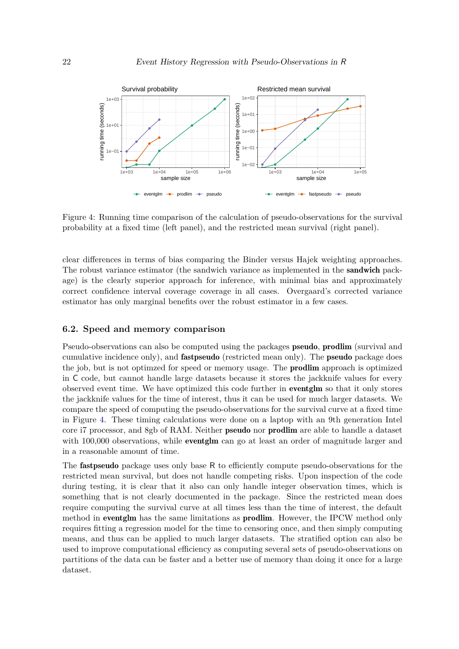

<span id="page-21-0"></span>Figure 4: Running time comparison of the calculation of pseudo-observations for the survival probability at a fixed time (left panel), and the restricted mean survival (right panel).

clear differences in terms of bias comparing the Binder versus Hajek weighting approaches. The robust variance estimator (the sandwich variance as implemented in the sandwich package) is the clearly superior approach for inference, with minimal bias and approximately correct confidence interval coverage coverage in all cases. Overgaard's corrected variance estimator has only marginal benefits over the robust estimator in a few cases.

#### **6.2. Speed and memory comparison**

Pseudo-observations can also be computed using the packages pseudo, prodlim (survival and cumulative incidence only), and fastpseudo (restricted mean only). The pseudo package does the job, but is not optimzed for speed or memory usage. The prodlim approach is optimized in C code, but cannot handle large datasets because it stores the jackknife values for every observed event time. We have optimized this code further in eventglm so that it only stores the jackknife values for the time of interest, thus it can be used for much larger datasets. We compare the speed of computing the pseudo-observations for the survival curve at a fixed time in Figure [4.](#page-21-0) These timing calculations were done on a laptop with an 9th generation Intel core i7 processor, and 8gb of RAM. Neither pseudo nor prodlim are able to handle a dataset with 100,000 observations, while **eventglm** can go at least an order of magnitude larger and in a reasonable amount of time.

The fastpseudo package uses only base R to efficiently compute pseudo-observations for the restricted mean survival, but does not handle competing risks. Upon inspection of the code during testing, it is clear that it also can only handle integer observation times, which is something that is not clearly documented in the package. Since the restricted mean does require computing the survival curve at all times less than the time of interest, the default method in **eventglm** has the same limitations as **prodlim**. However, the IPCW method only requires fitting a regression model for the time to censoring once, and then simply computing means, and thus can be applied to much larger datasets. The stratified option can also be used to improve computational efficiency as computing several sets of pseudo-observations on partitions of the data can be faster and a better use of memory than doing it once for a large dataset.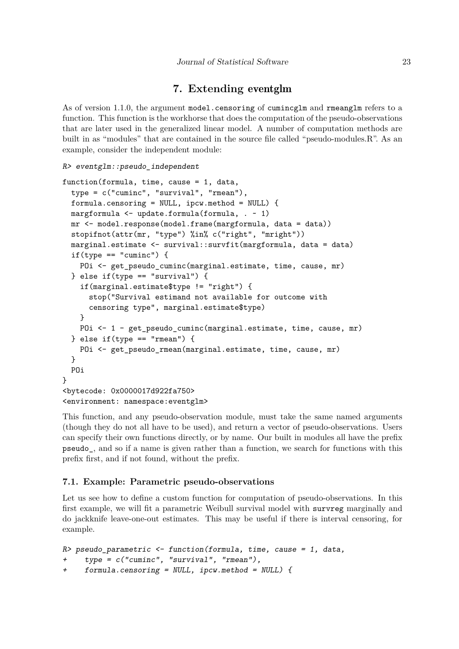### **7. Extending** eventglm

<span id="page-22-0"></span>As of version 1.1.0, the argument model.censoring of cumincglm and rmeanglm refers to a function. This function is the workhorse that does the computation of the pseudo-observations that are later used in the generalized linear model. A number of computation methods are built in as "modules" that are contained in the source file called "pseudo-modules.R". As an example, consider the independent module:

```
R> eventglm::pseudo_independent
```

```
function(formula, time, cause = 1, data,
 type = c("cuminc", "survival", "rmean"),
 formula.censoring = NULL, ipcw.method = NULL) {
 margformula <- update.formula(formula, . ~ 1)
 mr <- model.response(model.frame(margformula, data = data))
 stopifnot(attr(mr, "type") %in% c("right", "mright"))
 marginal.estimate <- survival::survfit(margformula, data = data)
 if(type == "cuminc") {
   POi <- get_pseudo_cuminc(marginal.estimate, time, cause, mr)
 } else if(type == "survival") {
   if(marginal.estimate$type != "right") {
     stop("Survival estimand not available for outcome with
     censoring type", marginal.estimate$type)
   }
   POi <- 1 - get_pseudo_cuminc(marginal.estimate, time, cause, mr)
 } else if(type == "rmean") {
   POi <- get_pseudo_rmean(marginal.estimate, time, cause, mr)
 }
 POi
}
<bytecode: 0x0000017d922fa750>
<environment: namespace:eventglm>
```
This function, and any pseudo-observation module, must take the same named arguments (though they do not all have to be used), and return a vector of pseudo-observations. Users can specify their own functions directly, or by name. Our built in modules all have the prefix pseudo\_, and so if a name is given rather than a function, we search for functions with this prefix first, and if not found, without the prefix.

### **7.1. Example: Parametric pseudo-observations**

Let us see how to define a custom function for computation of pseudo-observations. In this first example, we will fit a parametric Weibull survival model with survreg marginally and do jackknife leave-one-out estimates. This may be useful if there is interval censoring, for example.

```
R> pseudo_parametric <- function(formula, time, cause = 1, data,
    type = c("cuminc", "survival", "rmean"),+ formula.censoring = NULL, ipcw.method = NULL) {
```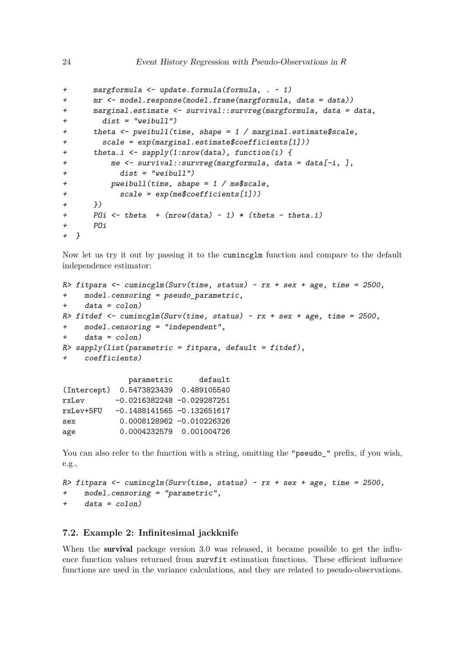```
+ margformula <- update.formula(formula, . ~ 1)
+ mr <- model.response(model.frame(margformula, data = data))
+ marginal.estimate <- survival::survreg(margformula, data = data,
        dist = "weibull")+ theta \zeta- pweibull(time, shape = 1 / marginal.estimate$scale,
+ scale = exp(marginal.estimate$coefficients[1]))
+ theta.i <- sapply(1:nrow(data), function(i) {
+ me <- survival::survreg(margformula, data = data[-i, ],
           dist = "weibull")+ pweibull(time, shape = 1 / me$scale,
+ scale = exp(me$coefficients[1]))
+ })
+ POi \leftarrow theta + (nrow(data) - 1) * (theta - theta.i)
+ POi
+ }
```
Now let us try it out by passing it to the cumincglm function and compare to the default independence estimator:

```
R> fitpara \le cumincglm(Surv(time, status) \sim rx + sex + age, time = 2500,
+ model.censoring = pseudo_parametric,
+ data = colon)
R> fitdef \leq cumincglm(Surv(time, status) \leq rx + sex + age, time = 2500,
+ model.censoring = "independent",
+ data = colon)
R> sapply(list(parametric = fitpara, default = fitdef),
     coefficients)parametric default
(Intercept) 0.5473823439 0.489105540
```

|           | (Intercept) 0.0410020400 0.400100040 |  |
|-----------|--------------------------------------|--|
| rxLev     | $-0.0216382248 - 0.029287251$        |  |
| rxLev+5FU | $-0.1488141565 - 0.132651617$        |  |
| sex       | 0.0008128962 -0.010226326            |  |
| age       | 0.0004232579 0.001004726             |  |

You can also refer to the function with a string, omitting the "pseudo\_" prefix, if you wish, e.g.,

```
R> fitpara <- cumincglm(Surv(time, status) ~ rx + sex + age, time = 2500,
+ model.censoring = "parametric",
+ data = colon)
```
### **7.2. Example 2: Infinitesimal jackknife**

When the **survival** package version 3.0 was released, it became possible to get the influence function values returned from survfit estimation functions. These efficient influence functions are used in the variance calculations, and they are related to pseudo-observations.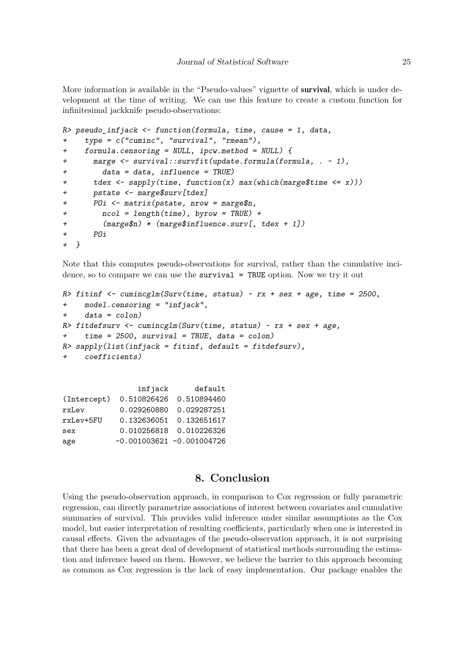More information is available in the "Pseudo-values" vignette of survival, which is under development at the time of writing. We can use this feature to create a custom function for infinitesimal jackknife pseudo-observations:

```
R> pseudo_infjack <- function(formula, time, cause = 1, data,
    type = c("cuminc", "survival", "rmean"),+ formula.censoring = NULL, ipcw.method = NULL) {
+ marge <- survival::survfit(update.formula(formula, . ~ 1),
+ data = data, influence = TRUE)
+ tdex <- sapply(time, function(x) max(which(marge$time <= x)))
+ pstate <- marge$surv[tdex]
      P0i \leq matrix(pstate, nrow = marge$n,
+ ncol = length(time), byrow = TRUE) +
+ (marge$n) * (marge$influence.surv[, tdex + 1])
+ POi
+ }
```
Note that this computes pseudo-observations for survival, rather than the cumulative incidence, so to compare we can use the survival = TRUE option. Now we try it out

```
R> fitinf \leq cumincglm(Surv(time, status) \leq rx + sex + age, time = 2500,
+ model.censoring = "infjack",
+ data = colon)
R> fitdefsurv <- cumincglm(Surv(time, status) ~ rx + sex + age,
+ time = 2500, survival = TRUE, data = colon)
R> sapply(list(infjack = fitinf, default = fitdefsurv),
    coefficients)
```

|             | infjack | default                      |
|-------------|---------|------------------------------|
| (Intercept) |         | 0.510826426  0.510894460     |
| rxLev       |         | 0.029260880  0.029287251     |
| rxLev+5FU   |         | 0.132636051 0.132651617      |
| sex         |         | 0.010256818 0.010226326      |
| age         |         | $-0.001003621 - 0.001004726$ |

### **8. Conclusion**

Using the pseudo-observation approach, in comparison to Cox regression or fully parametric regression, can directly parametrize associations of interest between covariates and cumulative summaries of survival. This provides valid inference under similar assumptions as the Cox model, but easier interpretation of resulting coefficients, particularly when one is interested in causal effects. Given the advantages of the pseudo-observation approach, it is not surprising that there has been a great deal of development of statistical methods surrounding the estimation and inference based on them. However, we believe the barrier to this approach becoming as common as Cox regression is the lack of easy implementation. Our package enables the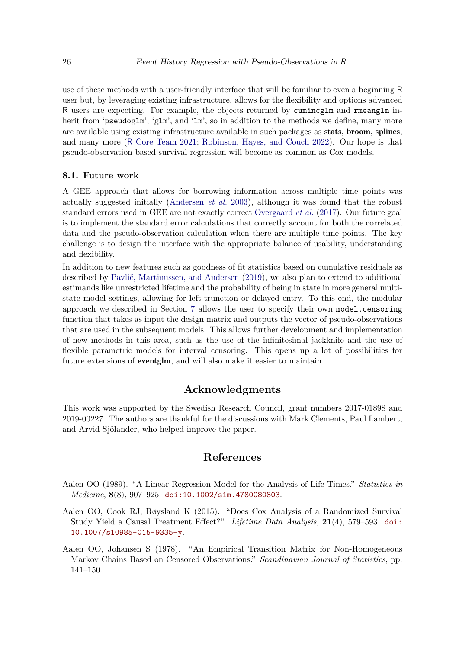use of these methods with a user-friendly interface that will be familiar to even a beginning R user but, by leveraging existing infrastructure, allows for the flexibility and options advanced R users are expecting. For example, the objects returned by cumincglm and rmeanglm inherit from 'pseudoglm', 'glm', and 'lm', so in addition to the methods we define, many more are available using existing infrastructure available in such packages as stats, broom, splines, and many more (R [Core Team](#page-28-3) [2021;](#page-28-3) [Robinson, Hayes, and Couch](#page-28-13) [2022\)](#page-28-13). Our hope is that pseudo-observation based survival regression will become as common as Cox models.

#### **8.1. Future work**

A GEE approach that allows for borrowing information across multiple time points was actually suggested initially [\(Andersen](#page-26-3) *et al.* [2003\)](#page-26-3), although it was found that the robust standard errors used in GEE are not exactly correct [Overgaard](#page-27-3) *et al.* [\(2017\)](#page-27-3). Our future goal is to implement the standard error calculations that correctly account for both the correlated data and the pseudo-observation calculation when there are multiple time points. The key challenge is to design the interface with the appropriate balance of usability, understanding and flexibility.

In addition to new features such as goodness of fit statistics based on cumulative residuals as described by [Pavlič, Martinussen, and Andersen](#page-28-14) [\(2019\)](#page-28-14), we also plan to extend to additional estimands like unrestricted lifetime and the probability of being in state in more general multistate model settings, allowing for left-trunction or delayed entry. To this end, the modular approach we described in Section [7](#page-22-0) allows the user to specify their own model.censoring function that takes as input the design matrix and outputs the vector of pseudo-observations that are used in the subsequent models. This allows further development and implementation of new methods in this area, such as the use of the infinitesimal jackknife and the use of flexible parametric models for interval censoring. This opens up a lot of possibilities for future extensions of eventglm, and will also make it easier to maintain.

### **Acknowledgments**

This work was supported by the Swedish Research Council, grant numbers 2017-01898 and 2019-00227. The authors are thankful for the discussions with Mark Clements, Paul Lambert, and Arvid Sjölander, who helped improve the paper.

### **References**

- <span id="page-25-2"></span>Aalen OO (1989). "A Linear Regression Model for the Analysis of Life Times." *Statistics in Medicine*, **8**(8), 907–925. [doi:10.1002/sim.4780080803](https://doi.org/10.1002/sim.4780080803).
- <span id="page-25-0"></span>Aalen OO, Cook RJ, Røysland K (2015). "Does Cox Analysis of a Randomized Survival Study Yield a Causal Treatment Effect?" *Lifetime Data Analysis*, **21**(4), 579–593. [doi:](https://doi.org/10.1007/s10985-015-9335-y) [10.1007/s10985-015-9335-y](https://doi.org/10.1007/s10985-015-9335-y).
- <span id="page-25-1"></span>Aalen OO, Johansen S (1978). "An Empirical Transition Matrix for Non-Homogeneous Markov Chains Based on Censored Observations." *Scandinavian Journal of Statistics*, pp. 141–150.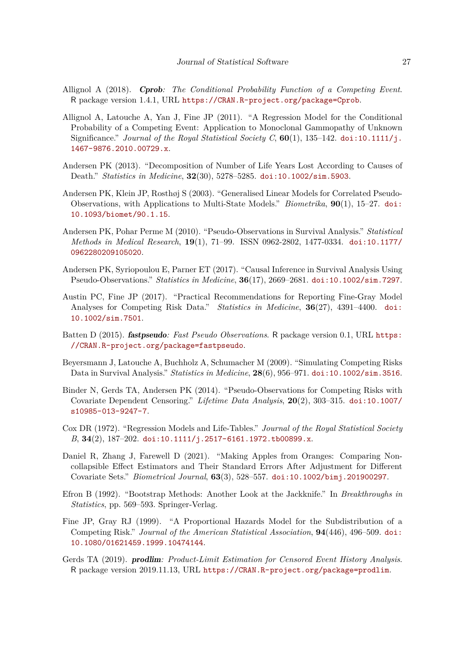- <span id="page-26-4"></span>Allignol A (2018). Cprob*: The Conditional Probability Function of a Competing Event*. R package version 1.4.1, URL <https://CRAN.R-project.org/package=Cprob>.
- <span id="page-26-5"></span>Allignol A, Latouche A, Yan J, Fine JP (2011). "A Regression Model for the Conditional Probability of a Competing Event: Application to Monoclonal Gammopathy of Unknown Significance." *Journal of the Royal Statistical Society C*, **60**(1), 135–142. [doi:10.1111/j.](https://doi.org/10.1111/j.1467-9876.2010.00729.x) [1467-9876.2010.00729.x](https://doi.org/10.1111/j.1467-9876.2010.00729.x).
- <span id="page-26-8"></span>Andersen PK (2013). "Decomposition of Number of Life Years Lost According to Causes of Death." *Statistics in Medicine*, **32**(30), 5278–5285. [doi:10.1002/sim.5903](https://doi.org/10.1002/sim.5903).
- <span id="page-26-3"></span>Andersen PK, Klein JP, Rosthøj S (2003). "Generalised Linear Models for Correlated Pseudo-Observations, with Applications to Multi-State Models." *Biometrika*, **90**(1), 15–27. [doi:](https://doi.org/10.1093/biomet/90.1.15) [10.1093/biomet/90.1.15](https://doi.org/10.1093/biomet/90.1.15).
- <span id="page-26-11"></span>Andersen PK, Pohar Perme M (2010). "Pseudo-Observations in Survival Analysis." *Statistical Methods in Medical Research*, **19**(1), 71–99. ISSN 0962-2802, 1477-0334. [doi:10.1177/](https://doi.org/10.1177/0962280209105020) [0962280209105020](https://doi.org/10.1177/0962280209105020).
- <span id="page-26-9"></span>Andersen PK, Syriopoulou E, Parner ET (2017). "Causal Inference in Survival Analysis Using Pseudo-Observations." *Statistics in Medicine*, **36**(17), 2669–2681. [doi:10.1002/sim.7297](https://doi.org/10.1002/sim.7297).
- <span id="page-26-2"></span>Austin PC, Fine JP (2017). "Practical Recommendations for Reporting Fine-Gray Model Analyses for Competing Risk Data." *Statistics in Medicine*, **36**(27), 4391–4400. [doi:](https://doi.org/10.1002/sim.7501) [10.1002/sim.7501](https://doi.org/10.1002/sim.7501).
- <span id="page-26-6"></span>Batten D (2015). fastpseudo*: Fast Pseudo Observations*. R package version 0.1, URL [https:](https://CRAN.R-project.org/package=fastpseudo) [//CRAN.R-project.org/package=fastpseudo](https://CRAN.R-project.org/package=fastpseudo).
- <span id="page-26-14"></span>Beyersmann J, Latouche A, Buchholz A, Schumacher M (2009). "Simulating Competing Risks Data in Survival Analysis." *Statistics in Medicine*, **28**(6), 956–971. [doi:10.1002/sim.3516](https://doi.org/10.1002/sim.3516).
- <span id="page-26-12"></span>Binder N, Gerds TA, Andersen PK (2014). "Pseudo-Observations for Competing Risks with Covariate Dependent Censoring." *Lifetime Data Analysis*, **20**(2), 303–315. [doi:10.1007/](https://doi.org/10.1007/s10985-013-9247-7) [s10985-013-9247-7](https://doi.org/10.1007/s10985-013-9247-7).
- <span id="page-26-0"></span>Cox DR (1972). "Regression Models and Life-Tables." *Journal of the Royal Statistical Society B*, **34**(2), 187–202. [doi:10.1111/j.2517-6161.1972.tb00899.x](https://doi.org/10.1111/j.2517-6161.1972.tb00899.x).
- <span id="page-26-10"></span>Daniel R, Zhang J, Farewell D (2021). "Making Apples from Oranges: Comparing Noncollapsible Effect Estimators and Their Standard Errors After Adjustment for Different Covariate Sets." *Biometrical Journal*, **63**(3), 528–557. [doi:10.1002/bimj.201900297](https://doi.org/10.1002/bimj.201900297).
- <span id="page-26-13"></span>Efron B (1992). "Bootstrap Methods: Another Look at the Jackknife." In *Breakthroughs in Statistics*, pp. 569–593. Springer-Verlag.
- <span id="page-26-1"></span>Fine JP, Gray RJ (1999). "A Proportional Hazards Model for the Subdistribution of a Competing Risk." *Journal of the American Statistical Association*, **94**(446), 496–509. [doi:](https://doi.org/10.1080/01621459.1999.10474144) [10.1080/01621459.1999.10474144](https://doi.org/10.1080/01621459.1999.10474144).
- <span id="page-26-7"></span>Gerds TA (2019). prodlim*: Product-Limit Estimation for Censored Event History Analysis*. R package version 2019.11.13, URL <https://CRAN.R-project.org/package=prodlim>.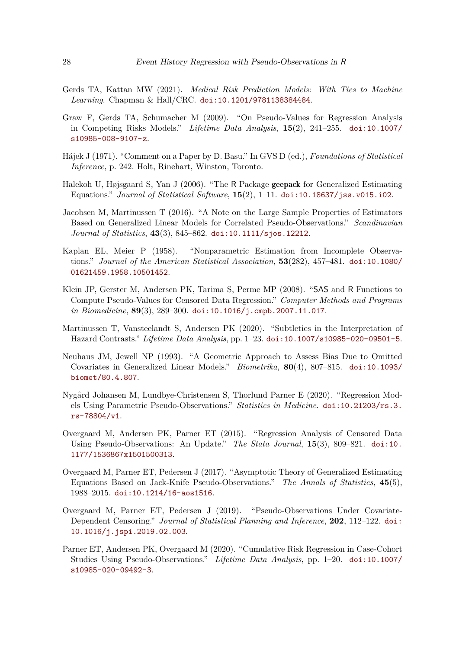- <span id="page-27-5"></span>Gerds TA, Kattan MW (2021). *Medical Risk Prediction Models: With Ties to Machine Learning*. Chapman & Hall/CRC. [doi:10.1201/9781138384484](https://doi.org/10.1201/9781138384484).
- <span id="page-27-1"></span>Graw F, Gerds TA, Schumacher M (2009). "On Pseudo-Values for Regression Analysis in Competing Risks Models." *Lifetime Data Analysis*, **15**(2), 241–255. [doi:10.1007/](https://doi.org/10.1007/s10985-008-9107-z) [s10985-008-9107-z](https://doi.org/10.1007/s10985-008-9107-z).
- <span id="page-27-12"></span>Hájek J (1971). "Comment on a Paper by D. Basu." In GVS D (ed.), *Foundations of Statistical Inference*, p. 242. Holt, Rinehart, Winston, Toronto.
- <span id="page-27-4"></span>Halekoh U, Højsgaard S, Yan J (2006). "The R Package geepack for Generalized Estimating Equations." *Journal of Statistical Software*, **15**(2), 1–11. [doi:10.18637/jss.v015.i02](https://doi.org/10.18637/jss.v015.i02).
- <span id="page-27-2"></span>Jacobsen M, Martinussen T (2016). "A Note on the Large Sample Properties of Estimators Based on Generalized Linear Models for Correlated Pseudo-Observations." *Scandinavian Journal of Statistics*, **43**(3), 845–862. [doi:10.1111/sjos.12212](https://doi.org/10.1111/sjos.12212).
- <span id="page-27-10"></span>Kaplan EL, Meier P (1958). "Nonparametric Estimation from Incomplete Observations." *Journal of the American Statistical Association*, **53**(282), 457–481. [doi:10.1080/](https://doi.org/10.1080/01621459.1958.10501452) [01621459.1958.10501452](https://doi.org/10.1080/01621459.1958.10501452).
- <span id="page-27-7"></span>Klein JP, Gerster M, Andersen PK, Tarima S, Perme MP (2008). "SAS and R Functions to Compute Pseudo-Values for Censored Data Regression." *Computer Methods and Programs in Biomedicine*, **89**(3), 289–300. [doi:10.1016/j.cmpb.2007.11.017](https://doi.org/10.1016/j.cmpb.2007.11.017).
- <span id="page-27-0"></span>Martinussen T, Vansteelandt S, Andersen PK (2020). "Subtleties in the Interpretation of Hazard Contrasts." *Lifetime Data Analysis*, pp. 1–23. [doi:10.1007/s10985-020-09501-5](https://doi.org/10.1007/s10985-020-09501-5).
- <span id="page-27-8"></span>Neuhaus JM, Jewell NP (1993). "A Geometric Approach to Assess Bias Due to Omitted Covariates in Generalized Linear Models." *Biometrika*, **80**(4), 807–815. [doi:10.1093/](https://doi.org/10.1093/biomet/80.4.807) [biomet/80.4.807](https://doi.org/10.1093/biomet/80.4.807).
- <span id="page-27-11"></span>Nygård Johansen M, Lundbye-Christensen S, Thorlund Parner E (2020). "Regression Models Using Parametric Pseudo-Observations." *Statistics in Medicine*. [doi:10.21203/rs.3.](https://doi.org/10.21203/rs.3.rs-78804/v1) [rs-78804/v1](https://doi.org/10.21203/rs.3.rs-78804/v1).
- <span id="page-27-6"></span>Overgaard M, Andersen PK, Parner ET (2015). "Regression Analysis of Censored Data Using Pseudo-Observations: An Update." *The Stata Journal*, **15**(3), 809–821. [doi:10.](https://doi.org/10.1177/1536867x1501500313) [1177/1536867x1501500313](https://doi.org/10.1177/1536867x1501500313).
- <span id="page-27-3"></span>Overgaard M, Parner ET, Pedersen J (2017). "Asymptotic Theory of Generalized Estimating Equations Based on Jack-Knife Pseudo-Observations." *The Annals of Statistics*, **45**(5), 1988–2015. [doi:10.1214/16-aos1516](https://doi.org/10.1214/16-aos1516).
- <span id="page-27-9"></span>Overgaard M, Parner ET, Pedersen J (2019). "Pseudo-Observations Under Covariate-Dependent Censoring." *Journal of Statistical Planning and Inference*, **202**, 112–122. [doi:](https://doi.org/10.1016/j.jspi.2019.02.003) [10.1016/j.jspi.2019.02.003](https://doi.org/10.1016/j.jspi.2019.02.003).
- <span id="page-27-13"></span>Parner ET, Andersen PK, Overgaard M (2020). "Cumulative Risk Regression in Case-Cohort Studies Using Pseudo-Observations." *Lifetime Data Analysis*, pp. 1–20. [doi:10.1007/](https://doi.org/10.1007/s10985-020-09492-3) [s10985-020-09492-3](https://doi.org/10.1007/s10985-020-09492-3).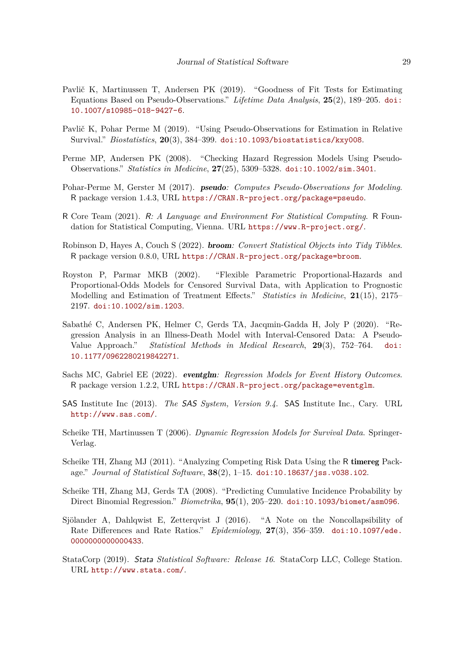- <span id="page-28-14"></span>Pavlič K, Martinussen T, Andersen PK (2019). "Goodness of Fit Tests for Estimating Equations Based on Pseudo-Observations." *Lifetime Data Analysis*, **25**(2), 189–205. [doi:](https://doi.org/10.1007/s10985-018-9427-6) [10.1007/s10985-018-9427-6](https://doi.org/10.1007/s10985-018-9427-6).
- <span id="page-28-12"></span>Pavlič K, Pohar Perme M (2019). "Using Pseudo-Observations for Estimation in Relative Survival." *Biostatistics*, **20**(3), 384–399. [doi:10.1093/biostatistics/kxy008](https://doi.org/10.1093/biostatistics/kxy008).
- <span id="page-28-9"></span>Perme MP, Andersen PK (2008). "Checking Hazard Regression Models Using Pseudo-Observations." *Statistics in Medicine*, **27**(25), 5309–5328. [doi:10.1002/sim.3401](https://doi.org/10.1002/sim.3401).
- <span id="page-28-6"></span>Pohar-Perme M, Gerster M (2017). pseudo*: Computes Pseudo-Observations for Modeling*. R package version 1.4.3, URL <https://CRAN.R-project.org/package=pseudo>.
- <span id="page-28-3"></span>R Core Team (2021). R*: A Language and Environment For Statistical Computing*. R Foundation for Statistical Computing, Vienna. URL <https://www.R-project.org/>.
- <span id="page-28-13"></span>Robinson D, Hayes A, Couch S (2022). broom*: Convert Statistical Objects into Tidy Tibbles*. R package version 0.8.0, URL <https://CRAN.R-project.org/package=broom>.
- <span id="page-28-0"></span>Royston P, Parmar MKB (2002). "Flexible Parametric Proportional-Hazards and Proportional-Odds Models for Censored Survival Data, with Application to Prognostic Modelling and Estimation of Treatment Effects." *Statistics in Medicine*, **21**(15), 2175– 2197. [doi:10.1002/sim.1203](https://doi.org/10.1002/sim.1203).
- <span id="page-28-11"></span>Sabathé C, Andersen PK, Helmer C, Gerds TA, Jacqmin-Gadda H, Joly P (2020). "Regression Analysis in an Illness-Death Model with Interval-Censored Data: A Pseudo-Value Approach." *Statistical Methods in Medical Research*, **29**(3), 752–764. [doi:](https://doi.org/10.1177/0962280219842271) [10.1177/0962280219842271](https://doi.org/10.1177/0962280219842271).
- <span id="page-28-2"></span>Sachs MC, Gabriel EE (2022). eventglm*: Regression Models for Event History Outcomes*. R package version 1.2.2, URL <https://CRAN.R-project.org/package=eventglm>.
- <span id="page-28-8"></span>SAS Institute Inc (2013). *The* SAS *System, Version 9.4*. SAS Institute Inc., Cary. URL <http://www.sas.com/>.
- <span id="page-28-5"></span>Scheike TH, Martinussen T (2006). *Dynamic Regression Models for Survival Data*. Springer-Verlag.
- <span id="page-28-4"></span>Scheike TH, Zhang MJ (2011). "Analyzing Competing Risk Data Using the R timereg Package." *Journal of Statistical Software*, **38**(2), 1–15. [doi:10.18637/jss.v038.i02](https://doi.org/10.18637/jss.v038.i02).
- <span id="page-28-1"></span>Scheike TH, Zhang MJ, Gerds TA (2008). "Predicting Cumulative Incidence Probability by Direct Binomial Regression." *Biometrika*, **95**(1), 205–220. [doi:10.1093/biomet/asm096](https://doi.org/10.1093/biomet/asm096).
- <span id="page-28-10"></span>Sjölander A, Dahlqwist E, Zetterqvist J (2016). "A Note on the Noncollapsibility of Rate Differences and Rate Ratios." *Epidemiology*, **27**(3), 356–359. [doi:10.1097/ede.](https://doi.org/10.1097/ede.0000000000000433) [0000000000000433](https://doi.org/10.1097/ede.0000000000000433).
- <span id="page-28-7"></span>StataCorp (2019). Stata *Statistical Software: Release 16*. StataCorp LLC, College Station. URL <http://www.stata.com/>.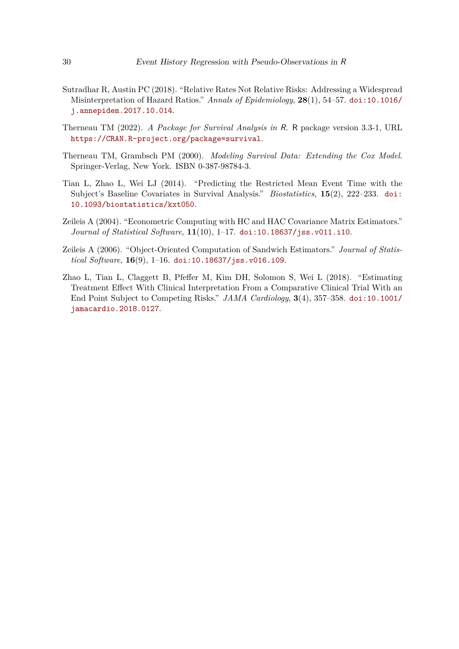- <span id="page-29-0"></span>Sutradhar R, Austin PC (2018). "Relative Rates Not Relative Risks: Addressing a Widespread Misinterpretation of Hazard Ratios." *Annals of Epidemiology*, **28**(1), 54–57. [doi:10.1016/](https://doi.org/10.1016/j.annepidem.2017.10.014) [j.annepidem.2017.10.014](https://doi.org/10.1016/j.annepidem.2017.10.014).
- <span id="page-29-4"></span>Therneau TM (2022). *A Package for Survival Analysis in* R. R package version 3.3-1, URL <https://CRAN.R-project.org/package=survival>.
- <span id="page-29-3"></span>Therneau TM, Grambsch PM (2000). *Modeling Survival Data: Extending the Cox Model*. Springer-Verlag, New York. ISBN 0-387-98784-3.
- <span id="page-29-2"></span>Tian L, Zhao L, Wei LJ (2014). "Predicting the Restricted Mean Event Time with the Subject's Baseline Covariates in Survival Analysis." *Biostatistics*, **15**(2), 222–233. [doi:](https://doi.org/10.1093/biostatistics/kxt050) [10.1093/biostatistics/kxt050](https://doi.org/10.1093/biostatistics/kxt050).
- <span id="page-29-5"></span>Zeileis A (2004). "Econometric Computing with HC and HAC Covariance Matrix Estimators." *Journal of Statistical Software*, **11**(10), 1–17. [doi:10.18637/jss.v011.i10](https://doi.org/10.18637/jss.v011.i10).
- <span id="page-29-6"></span>Zeileis A (2006). "Object-Oriented Computation of Sandwich Estimators." *Journal of Statistical Software*, **16**(9), 1–16. [doi:10.18637/jss.v016.i09](https://doi.org/10.18637/jss.v016.i09).
- <span id="page-29-1"></span>Zhao L, Tian L, Claggett B, Pfeffer M, Kim DH, Solomon S, Wei L (2018). "Estimating Treatment Effect With Clinical Interpretation From a Comparative Clinical Trial With an End Point Subject to Competing Risks." *JAMA Cardiology*, **3**(4), 357–358. [doi:10.1001/](https://doi.org/10.1001/jamacardio.2018.0127) [jamacardio.2018.0127](https://doi.org/10.1001/jamacardio.2018.0127).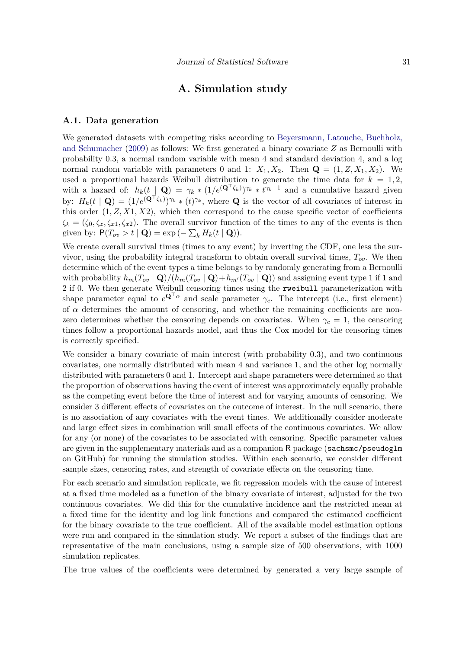### **A. Simulation study**

#### **A.1. Data generation**

We generated datasets with competing risks according to [Beyersmann, Latouche, Buchholz,](#page-26-14) [and Schumacher](#page-26-14) [\(2009\)](#page-26-14) as follows: We first generated a binary covariate *Z* as Bernoulli with probability 0.3, a normal random variable with mean 4 and standard deviation 4, and a log normal random variable with parameters 0 and 1:  $X_1, X_2$ . Then  $\mathbf{Q} = (1, Z, X_1, X_2)$ . We used a proportional hazards Weibull distribution to generate the time data for  $k = 1, 2$ , with a hazard of:  $h_k(t | \mathbf{Q}) = \gamma_k * (1/e^{(\mathbf{Q}^\top \zeta_k)})^{\gamma_k} * t^{\gamma_k-1}$  and a cumulative hazard given by:  $H_k(t | \mathbf{Q}) = (1/e^{(\mathbf{Q}^\top \zeta_k)})^{\gamma_k} * (t)^{\gamma_k}$ , where **Q** is the vector of all covariates of interest in this order  $(1, Z, X1, X2)$ , which then correspond to the cause specific vector of coefficients  $\zeta_k = (\zeta_0, \zeta_z, \zeta_{x1}, \zeta_{x2})$ . The overall survivor function of the times to any of the events is then given by:  $P(T_{ov} > t | \mathbf{Q}) = \exp(-\sum_{k} H_k(t | \mathbf{Q}))$ .

We create overall survival times (times to any event) by inverting the CDF, one less the survivor, using the probability integral transform to obtain overall survival times, *Tov*. We then determine which of the event types a time belongs to by randomly generating from a Bernoulli with probability  $h_m(T_{ov} | \mathbf{Q})/(h_m(T_{ov} | \mathbf{Q}) + h_{m'}(T_{ov} | \mathbf{Q}))$  and assigning event type 1 if 1 and 2 if 0. We then generate Weibull censoring times using the rweibull parameterization with shape parameter equal to  $e^{\mathbf{Q}^\top \alpha}$  and scale parameter  $\gamma_c$ . The intercept (i.e., first element) of  $\alpha$  determines the amount of censoring, and whether the remaining coefficients are nonzero determines whether the censoring depends on covariates. When  $\gamma_c = 1$ , the censoring times follow a proportional hazards model, and thus the Cox model for the censoring times is correctly specified.

We consider a binary covariate of main interest (with probability 0.3), and two continuous covariates, one normally distributed with mean 4 and variance 1, and the other log normally distributed with parameters 0 and 1. Intercept and shape parameters were determined so that the proportion of observations having the event of interest was approximately equally probable as the competing event before the time of interest and for varying amounts of censoring. We consider 3 different effects of covariates on the outcome of interest. In the null scenario, there is no association of any covariates with the event times. We additionally consider moderate and large effect sizes in combination will small effects of the continuous covariates. We allow for any (or none) of the covariates to be associated with censoring. Specific parameter values are given in the supplementary materials and as a companion R package (sachsmc/pseudoglm on GitHub) for running the simulation studies. Within each scenario, we consider different sample sizes, censoring rates, and strength of covariate effects on the censoring time.

For each scenario and simulation replicate, we fit regression models with the cause of interest at a fixed time modeled as a function of the binary covariate of interest, adjusted for the two continuous covariates. We did this for the cumulative incidence and the restricted mean at a fixed time for the identity and log link functions and compared the estimated coefficient for the binary covariate to the true coefficient. All of the available model estimation options were run and compared in the simulation study. We report a subset of the findings that are representative of the main conclusions, using a sample size of 500 observations, with 1000 simulation replicates.

The true values of the coefficients were determined by generated a very large sample of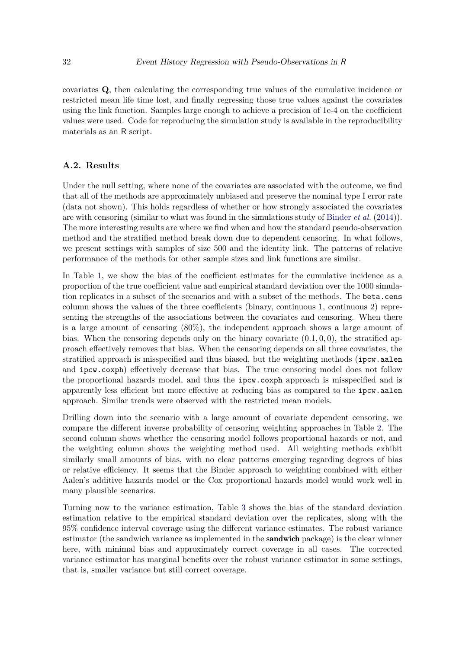covariates **Q**, then calculating the corresponding true values of the cumulative incidence or restricted mean life time lost, and finally regressing those true values against the covariates using the link function. Samples large enough to achieve a precision of 1e-4 on the coefficient values were used. Code for reproducing the simulation study is available in the reproducibility materials as an R script.

#### **A.2. Results**

Under the null setting, where none of the covariates are associated with the outcome, we find that all of the methods are approximately unbiased and preserve the nominal type I error rate (data not shown). This holds regardless of whether or how strongly associated the covariates are with censoring (similar to what was found in the simulations study of [Binder](#page-26-12) *et al.* [\(2014\)](#page-26-12)). The more interesting results are where we find when and how the standard pseudo-observation method and the stratified method break down due to dependent censoring. In what follows, we present settings with samples of size 500 and the identity link. The patterns of relative performance of the methods for other sample sizes and link functions are similar.

In Table [1,](#page-32-0) we show the bias of the coefficient estimates for the cumulative incidence as a proportion of the true coefficient value and empirical standard deviation over the 1000 simulation replicates in a subset of the scenarios and with a subset of the methods. The beta.cens column shows the values of the three coefficients (binary, continuous 1, continuous 2) representing the strengths of the associations between the covariates and censoring. When there is a large amount of censoring (80%), the independent approach shows a large amount of bias. When the censoring depends only on the binary covariate  $(0.1, 0, 0)$ , the stratified approach effectively removes that bias. When the censoring depends on all three covariates, the stratified approach is misspecified and thus biased, but the weighting methods (ipcw.aalen and ipcw.coxph) effectively decrease that bias. The true censoring model does not follow the proportional hazards model, and thus the ipcw.coxph approach is misspecified and is apparently less efficient but more effective at reducing bias as compared to the ipcw.aalen approach. Similar trends were observed with the restricted mean models.

Drilling down into the scenario with a large amount of covariate dependent censoring, we compare the different inverse probability of censoring weighting approaches in Table [2.](#page-32-1) The second column shows whether the censoring model follows proportional hazards or not, and the weighting column shows the weighting method used. All weighting methods exhibit similarly small amounts of bias, with no clear patterns emerging regarding degrees of bias or relative efficiency. It seems that the Binder approach to weighting combined with either Aalen's additive hazards model or the Cox proportional hazards model would work well in many plausible scenarios.

Turning now to the variance estimation, Table [3](#page-33-0) shows the bias of the standard deviation estimation relative to the empirical standard deviation over the replicates, along with the 95% confidence interval coverage using the different variance estimates. The robust variance estimator (the sandwich variance as implemented in the **sandwich** package) is the clear winner here, with minimal bias and approximately correct coverage in all cases. The corrected variance estimator has marginal benefits over the robust variance estimator in some settings, that is, smaller variance but still correct coverage.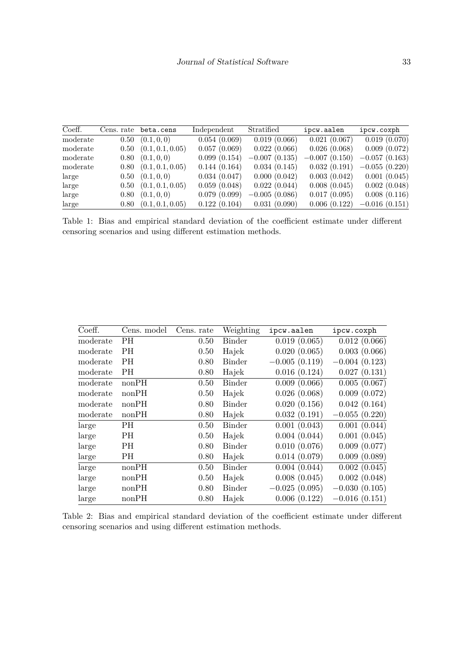| Coeff.   |      | Cens. rate beta.cens        | Independent  | Stratified      | ipcw.aalen      | ipcw.coxph      |
|----------|------|-----------------------------|--------------|-----------------|-----------------|-----------------|
| moderate | 0.50 | (0.1, 0, 0)                 | 0.054(0.069) | 0.019(0.066)    | 0.021(0.067)    | 0.019(0.070)    |
| moderate |      | $0.50\quad(0.1, 0.1, 0.05)$ | 0.057(0.069) | 0.022(0.066)    | 0.026(0.068)    | 0.009(0.072)    |
| moderate |      | $0.80\quad(0.1, 0, 0)$      | 0.099(0.154) | $-0.007(0.135)$ | $-0.007(0.150)$ | $-0.057(0.163)$ |
| moderate |      | $0.80\quad(0.1, 0.1, 0.05)$ | 0.144(0.164) | 0.034(0.145)    | 0.032(0.191)    | $-0.055(0.220)$ |
| large    |      | $0.50\quad(0.1, 0, 0)$      | 0.034(0.047) | 0.000(0.042)    | 0.003(0.042)    | 0.001(0.045)    |
| large    |      | $0.50\quad(0.1, 0.1, 0.05)$ | 0.059(0.048) | 0.022(0.044)    | 0.008(0.045)    | 0.002(0.048)    |
| large    |      | $0.80\quad(0.1,0,0)$        | 0.079(0.099) | $-0.005(0.086)$ | 0.017(0.095)    | 0.008(0.116)    |
| large    |      | $0.80\quad(0.1, 0.1, 0.05)$ | 0.122(0.104) | 0.031(0.090)    | 0.006(0.122)    | $-0.016(0.151)$ |

<span id="page-32-0"></span>Table 1: Bias and empirical standard deviation of the coefficient estimate under different censoring scenarios and using different estimation methods.

| Coeff.   | Cens. model | Cens. rate | Weighting     | ipcw.aalen      | ipcw.coxph      |
|----------|-------------|------------|---------------|-----------------|-----------------|
| moderate | PH          | 0.50       | Binder        | 0.019(0.065)    | 0.012(0.066)    |
| moderate | <b>PH</b>   | 0.50       | Hajek         | 0.020(0.065)    | 0.003(0.066)    |
| moderate | <b>PH</b>   | 0.80       | <b>Binder</b> | $-0.005(0.119)$ | $-0.004(0.123)$ |
| moderate | PН          | 0.80       | Hajek         | 0.016(0.124)    | 0.027(0.131)    |
| moderate | nonPH       | 0.50       | Binder        | 0.009(0.066)    | 0.005(0.067)    |
| moderate | nonPH       | 0.50       | Hajek         | 0.026(0.068)    | 0.009(0.072)    |
| moderate | nonPH       | 0.80       | <b>Binder</b> | 0.020(0.156)    | 0.042(0.164)    |
| moderate | nonPH       | 0.80       | Hajek         | 0.032(0.191)    | $-0.055(0.220)$ |
| large    | PH          | 0.50       | <b>Binder</b> | 0.001(0.043)    | 0.001(0.044)    |
| large    | PН          | 0.50       | Hajek         | 0.004(0.044)    | 0.001(0.045)    |
| large    | PН          | 0.80       | Binder        | 0.010(0.076)    | 0.009(0.077)    |
| large    | PН          | 0.80       | Hajek         | 0.014(0.079)    | 0.009(0.089)    |
| large    | nonPH       | 0.50       | <b>Binder</b> | 0.004(0.044)    | 0.002(0.045)    |
| large    | nonPH       | 0.50       | Hajek         | 0.008(0.045)    | 0.002(0.048)    |
| large    | nonPH       | 0.80       | Binder        | $-0.025(0.095)$ | $-0.030(0.105)$ |
| large    | nonPH       | 0.80       | Hajek         | 0.006(0.122)    | $-0.016(0.151)$ |

<span id="page-32-1"></span>Table 2: Bias and empirical standard deviation of the coefficient estimate under different censoring scenarios and using different estimation methods.